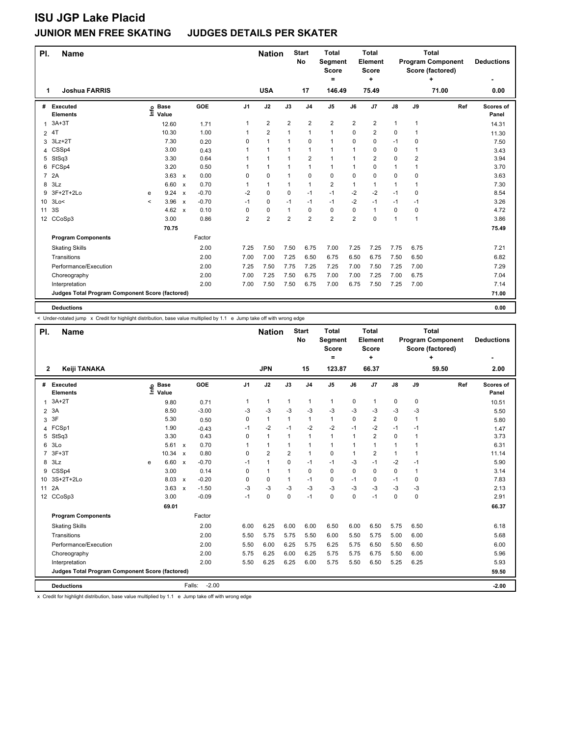| PI.             | <b>Name</b>                                     |         |                      |                           |         |                | <b>Nation</b>  |                         | <b>Start</b><br><b>No</b> | <b>Total</b><br><b>Segment</b><br><b>Score</b><br>= |                | <b>Total</b><br>Element<br><b>Score</b><br>÷ |              |                | <b>Total</b><br><b>Program Component</b><br>Score (factored)<br>٠ | <b>Deductions</b><br>۰ |
|-----------------|-------------------------------------------------|---------|----------------------|---------------------------|---------|----------------|----------------|-------------------------|---------------------------|-----------------------------------------------------|----------------|----------------------------------------------|--------------|----------------|-------------------------------------------------------------------|------------------------|
| 1               | <b>Joshua FARRIS</b>                            |         |                      |                           |         |                | <b>USA</b>     |                         | 17                        | 146.49                                              |                | 75.49                                        |              |                | 71.00                                                             | 0.00                   |
| #               | Executed<br><b>Elements</b>                     | ۴٥      | <b>Base</b><br>Value |                           | GOE     | J <sub>1</sub> | J2             | J3                      | J <sub>4</sub>            | J5                                                  | J6             | J <sub>7</sub>                               | J8           | J9             | Ref                                                               | Scores of<br>Panel     |
| 1               | $3A+3T$                                         |         | 12.60                |                           | 1.71    | $\mathbf{1}$   | $\overline{2}$ | $\overline{\mathbf{c}}$ | $\overline{2}$            | 2                                                   | $\overline{2}$ | $\overline{2}$                               | $\mathbf{1}$ | 1              |                                                                   | 14.31                  |
|                 | $2$ $4$ T                                       |         | 10.30                |                           | 1.00    | 1              | $\overline{2}$ | $\mathbf 1$             | 1                         | 1                                                   | 0              | $\overline{2}$                               | 0            | 1              |                                                                   | 11.30                  |
| 3               | $3Lz+2T$                                        |         | 7.30                 |                           | 0.20    | 0              | $\mathbf{1}$   | 1                       | $\mathbf 0$               | 1                                                   | 0              | $\mathbf 0$                                  | $-1$         | $\mathbf 0$    |                                                                   | 7.50                   |
|                 | 4 CSSp4                                         |         | 3.00                 |                           | 0.43    |                | $\mathbf{1}$   | 1                       | $\mathbf{1}$              | 1                                                   | -1             | 0                                            | 0            | 1              |                                                                   | 3.43                   |
| 5               | StSq3                                           |         | 3.30                 |                           | 0.64    |                | $\mathbf{1}$   | $\mathbf{1}$            | $\overline{2}$            | $\mathbf{1}$                                        | 1              | $\overline{2}$                               | 0            | $\overline{2}$ |                                                                   | 3.94                   |
|                 | 6 FCSp4                                         |         | 3.20                 |                           | 0.50    |                | $\mathbf{1}$   | $\mathbf{1}$            | $\mathbf{1}$              | 1                                                   | 1              | $\mathbf 0$                                  | 1            | 1              |                                                                   | 3.70                   |
| $\overline{7}$  | 2A                                              |         | 3.63                 | $\mathsf{x}$              | 0.00    | 0              | $\mathbf 0$    | $\mathbf{1}$            | $\mathbf 0$               | 0                                                   | 0              | $\mathbf 0$                                  | 0            | $\mathbf 0$    |                                                                   | 3.63                   |
| 8               | 3Lz                                             |         | 6.60                 | $\mathsf{x}$              | 0.70    |                | $\mathbf{1}$   | 1                       | $\mathbf{1}$              | $\overline{2}$                                      | $\mathbf{1}$   | $\mathbf{1}$                                 | $\mathbf{1}$ | 1              |                                                                   | 7.30                   |
| 9               | 3F+2T+2Lo                                       | e       | 9.24                 | $\boldsymbol{\mathsf{x}}$ | $-0.70$ | $-2$           | $\mathbf 0$    | 0                       | $-1$                      | $-1$                                                | $-2$           | $-2$                                         | $-1$         | $\mathbf 0$    |                                                                   | 8.54                   |
| 10 <sup>1</sup> | 3Lo<                                            | $\prec$ | 3.96                 | $\boldsymbol{\mathsf{x}}$ | $-0.70$ | $-1$           | $\mathbf 0$    | $-1$                    | $-1$                      | $-1$                                                | $-2$           | $-1$                                         | $-1$         | $-1$           |                                                                   | 3.26                   |
| 11              | 3S                                              |         | 4.62 $\times$        |                           | 0.10    | 0              | $\mathbf 0$    | 1                       | 0                         | 0                                                   | 0              | $\overline{1}$                               | 0            | 0              |                                                                   | 4.72                   |
|                 | 12 CCoSp3                                       |         | 3.00                 |                           | 0.86    | $\overline{2}$ | $\overline{2}$ | $\overline{2}$          | $\overline{2}$            | $\overline{2}$                                      | $\overline{2}$ | $\mathbf 0$                                  | 1            | 1              |                                                                   | 3.86                   |
|                 |                                                 |         | 70.75                |                           |         |                |                |                         |                           |                                                     |                |                                              |              |                |                                                                   | 75.49                  |
|                 | <b>Program Components</b>                       |         |                      |                           | Factor  |                |                |                         |                           |                                                     |                |                                              |              |                |                                                                   |                        |
|                 | <b>Skating Skills</b>                           |         |                      |                           | 2.00    | 7.25           | 7.50           | 7.50                    | 6.75                      | 7.00                                                | 7.25           | 7.25                                         | 7.75         | 6.75           |                                                                   | 7.21                   |
|                 | Transitions                                     |         |                      |                           | 2.00    | 7.00           | 7.00           | 7.25                    | 6.50                      | 6.75                                                | 6.50           | 6.75                                         | 7.50         | 6.50           |                                                                   | 6.82                   |
|                 | Performance/Execution                           |         |                      |                           | 2.00    | 7.25           | 7.50           | 7.75                    | 7.25                      | 7.25                                                | 7.00           | 7.50                                         | 7.25         | 7.00           |                                                                   | 7.29                   |
|                 | Choreography                                    |         |                      |                           | 2.00    | 7.00           | 7.25           | 7.50                    | 6.75                      | 7.00                                                | 7.00           | 7.25                                         | 7.00         | 6.75           |                                                                   | 7.04                   |
|                 | Interpretation                                  |         |                      |                           | 2.00    | 7.00           | 7.50           | 7.50                    | 6.75                      | 7.00                                                | 6.75           | 7.50                                         | 7.25         | 7.00           |                                                                   | 7.14                   |
|                 | Judges Total Program Component Score (factored) |         |                      |                           |         |                |                |                         |                           |                                                     |                |                                              |              |                |                                                                   | 71.00                  |
|                 | <b>Deductions</b>                               |         |                      |                           |         |                |                |                         |                           |                                                     |                |                                              |              |                |                                                                   | 0.00                   |

l

< Under-rotated jump x Credit for highlight distribution, base value multiplied by 1.1 e Jump take off with wrong edge

| PI.            | <b>Name</b>                                     |                            |              |                   |                | <b>Nation</b>  |                | <b>Start</b><br><b>No</b> | <b>Total</b><br>Segment<br><b>Score</b><br>$\equiv$ |              | <b>Total</b><br>Element<br><b>Score</b><br>÷ |              |             | <b>Total</b><br><b>Program Component</b><br>Score (factored)<br>٠ | <b>Deductions</b>  |
|----------------|-------------------------------------------------|----------------------------|--------------|-------------------|----------------|----------------|----------------|---------------------------|-----------------------------------------------------|--------------|----------------------------------------------|--------------|-------------|-------------------------------------------------------------------|--------------------|
| $\overline{2}$ | Keiji TANAKA                                    |                            |              |                   |                | <b>JPN</b>     |                | 15                        | 123.87                                              |              | 66.37                                        |              |             | 59.50                                                             | 2.00               |
| #              | <b>Executed</b><br><b>Elements</b>              | <b>Base</b><br>۴ů<br>Value |              | GOE               | J <sub>1</sub> | J2             | J3             | J <sub>4</sub>            | J <sub>5</sub>                                      | J6           | J <sub>7</sub>                               | J8           | J9          | Ref                                                               | Scores of<br>Panel |
|                | $3A+2T$                                         | 9.80                       |              | 0.71              |                | $\mathbf{1}$   | $\mathbf{1}$   | 1                         | $\mathbf{1}$                                        | $\mathbf 0$  | $\mathbf{1}$                                 | 0            | $\mathbf 0$ |                                                                   | 10.51              |
| 2              | 3A                                              | 8.50                       |              | $-3.00$           | -3             | $-3$           | $-3$           | $-3$                      | $-3$                                                | $-3$         | -3                                           | $-3$         | $-3$        |                                                                   | 5.50               |
| 3              | 3F                                              | 5.30                       |              | 0.50              | 0              | $\mathbf{1}$   | $\mathbf{1}$   | $\mathbf{1}$              | 1                                                   | $\Omega$     | $\overline{2}$                               | $\Omega$     | 1           |                                                                   | 5.80               |
|                | 4 FCSp1                                         | 1.90                       |              | $-0.43$           | $-1$           | $-2$           | $-1$           | $-2$                      | $-2$                                                | $-1$         | $-2$                                         | $-1$         | $-1$        |                                                                   | 1.47               |
| 5              | StSq3                                           | 3.30                       |              | 0.43              | 0              | $\mathbf{1}$   | $\mathbf{1}$   | $\mathbf{1}$              | 1                                                   | $\mathbf{1}$ | $\overline{2}$                               | 0            | 1           |                                                                   | 3.73               |
| 6              | 3Lo                                             | 5.61                       | $\mathsf{x}$ | 0.70              |                | $\mathbf{1}$   | 1              | 1                         | 1                                                   | 1            | $\overline{1}$                               | 1            | 1           |                                                                   | 6.31               |
| $\overline{7}$ | $3F+3T$                                         | 10.34                      | $\mathsf{x}$ | 0.80              | 0              | $\overline{2}$ | $\overline{2}$ | $\mathbf{1}$              | 0                                                   | 1            | $\overline{2}$                               | $\mathbf{1}$ | 1           |                                                                   | 11.14              |
| 8              | 3Lz                                             | 6.60<br>e                  | $\mathbf{x}$ | $-0.70$           | $-1$           | $\mathbf{1}$   | $\Omega$       | $-1$                      | $-1$                                                | $-3$         | $-1$                                         | $-2$         | $-1$        |                                                                   | 5.90               |
|                | 9 CSSp4                                         | 3.00                       |              | 0.14              | 0              | $\mathbf{1}$   | 1              | 0                         | 0                                                   | $\Omega$     | 0                                            | 0            | 1           |                                                                   | 3.14               |
|                | 10 3S+2T+2Lo                                    | 8.03                       | $\mathsf{x}$ | $-0.20$           | 0              | $\mathbf 0$    | 1              | $-1$                      | 0                                                   | $-1$         | 0                                            | $-1$         | 0           |                                                                   | 7.83               |
| 11             | 2A                                              | 3.63                       | $\mathsf{x}$ | $-1.50$           | $-3$           | -3             | $-3$           | $-3$                      | $-3$                                                | $-3$         | $-3$                                         | $-3$         | $-3$        |                                                                   | 2.13               |
|                | 12 CCoSp3                                       | 3.00                       |              | $-0.09$           | $-1$           | $\Omega$       | $\Omega$       | $-1$                      | $\Omega$                                            | $\Omega$     | $-1$                                         | $\Omega$     | $\Omega$    |                                                                   | 2.91               |
|                |                                                 | 69.01                      |              |                   |                |                |                |                           |                                                     |              |                                              |              |             |                                                                   | 66.37              |
|                | <b>Program Components</b>                       |                            |              | Factor            |                |                |                |                           |                                                     |              |                                              |              |             |                                                                   |                    |
|                | <b>Skating Skills</b>                           |                            |              | 2.00              | 6.00           | 6.25           | 6.00           | 6.00                      | 6.50                                                | 6.00         | 6.50                                         | 5.75         | 6.50        |                                                                   | 6.18               |
|                | Transitions                                     |                            |              | 2.00              | 5.50           | 5.75           | 5.75           | 5.50                      | 6.00                                                | 5.50         | 5.75                                         | 5.00         | 6.00        |                                                                   | 5.68               |
|                | Performance/Execution                           |                            |              | 2.00              | 5.50           | 6.00           | 6.25           | 5.75                      | 6.25                                                | 5.75         | 6.50                                         | 5.50         | 6.50        |                                                                   | 6.00               |
|                | Choreography                                    |                            |              | 2.00              | 5.75           | 6.25           | 6.00           | 6.25                      | 5.75                                                | 5.75         | 6.75                                         | 5.50         | 6.00        |                                                                   | 5.96               |
|                | Interpretation                                  |                            |              | 2.00              | 5.50           | 6.25           | 6.25           | 6.00                      | 5.75                                                | 5.50         | 6.50                                         | 5.25         | 6.25        |                                                                   | 5.93               |
|                | Judges Total Program Component Score (factored) |                            |              |                   |                |                |                |                           |                                                     |              |                                              |              |             |                                                                   | 59.50              |
|                | <b>Deductions</b>                               |                            |              | $-2.00$<br>Falls: |                |                |                |                           |                                                     |              |                                              |              |             |                                                                   | $-2.00$            |

x Credit for highlight distribution, base value multiplied by 1.1 e Jump take off with wrong edge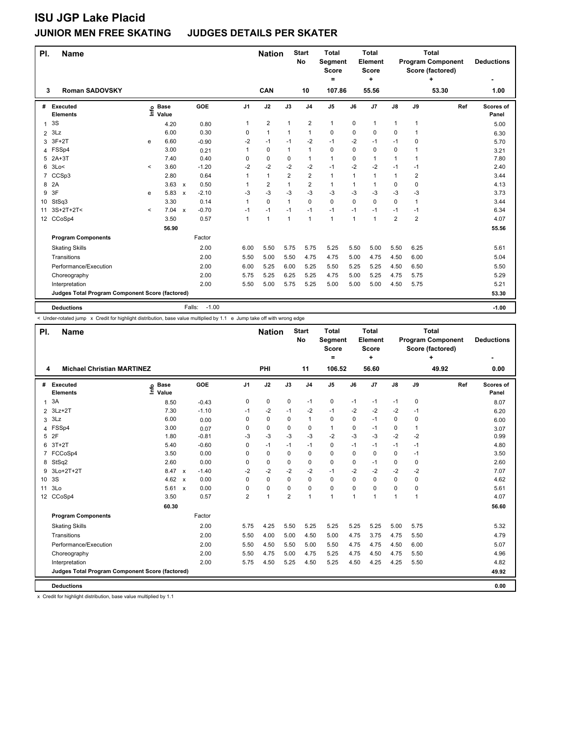| PI.            | <b>Name</b>                                     |         |                      |                           |         |                | <b>Nation</b>  |                | <b>Start</b><br>No      | <b>Total</b><br>Segment<br><b>Score</b><br>= |      | <b>Total</b><br>Element<br>Score<br>÷ |                |                | <b>Total</b><br><b>Program Component</b><br>Score (factored) | <b>Deductions</b>  |
|----------------|-------------------------------------------------|---------|----------------------|---------------------------|---------|----------------|----------------|----------------|-------------------------|----------------------------------------------|------|---------------------------------------|----------------|----------------|--------------------------------------------------------------|--------------------|
| 3              | <b>Roman SADOVSKY</b>                           |         |                      |                           |         |                | CAN            |                | 10                      | 107.86                                       |      | 55.56                                 |                |                | 53.30                                                        | 1.00               |
| #              | Executed<br><b>Elements</b>                     | ١ifo    | <b>Base</b><br>Value |                           | GOE     | J <sub>1</sub> | J2             | J3             | J <sub>4</sub>          | J5                                           | J6   | J7                                    | J8             | J9             | Ref                                                          | Scores of<br>Panel |
| 1              | 3S                                              |         | 4.20                 |                           | 0.80    | $\mathbf{1}$   | $\overline{2}$ | $\mathbf{1}$   | $\overline{\mathbf{c}}$ | $\mathbf{1}$                                 | 0    | $\mathbf{1}$                          | 1              | $\overline{1}$ |                                                              | 5.00               |
| $\overline{2}$ | 3Lz                                             |         | 6.00                 |                           | 0.30    | 0              | $\mathbf{1}$   | 1              | $\mathbf{1}$            | $\mathbf 0$                                  | 0    | $\mathbf 0$                           | 0              | 1              |                                                              | 6.30               |
| 3              | $3F+2T$                                         | e       | 6.60                 |                           | $-0.90$ | $-2$           | $-1$           | $-1$           | $-2$                    | $-1$                                         | $-2$ | $-1$                                  | $-1$           | 0              |                                                              | 5.70               |
|                | 4 FSSp4                                         |         | 3.00                 |                           | 0.21    | 1              | $\mathbf 0$    | $\mathbf{1}$   | $\mathbf{1}$            | $\mathbf 0$                                  | 0    | 0                                     | 0              | 1              |                                                              | 3.21               |
| 5              | $2A+3T$                                         |         | 7.40                 |                           | 0.40    | 0              | 0              | 0              | $\mathbf{1}$            | 1                                            | 0    | $\mathbf{1}$                          | 1              | 1              |                                                              | 7.80               |
| 6              | 3Lo<                                            | $\,<\,$ | 3.60                 |                           | $-1.20$ | -2             | $-2$           | $-2$           | $-2$                    | $-1$                                         | $-2$ | $-2$                                  | $-1$           | -1             |                                                              | 2.40               |
| 7              | CCSp3                                           |         | 2.80                 |                           | 0.64    | 1              | $\mathbf{1}$   | $\overline{2}$ | $\overline{2}$          | $\mathbf{1}$                                 | 1    | $\mathbf{1}$                          | 1              | 2              |                                                              | 3.44               |
| 8              | 2A                                              |         | 3.63                 | $\mathsf{x}$              | 0.50    | $\mathbf{1}$   | $\overline{2}$ |                | $\overline{2}$          | 1                                            | 1    | $\mathbf{1}$                          | 0              | $\Omega$       |                                                              | 4.13               |
| 9              | 3F                                              | e       | 5.83                 | $\boldsymbol{\mathsf{x}}$ | $-2.10$ | -3             | $-3$           | -3             | $-3$                    | $-3$                                         | -3   | -3                                    | $-3$           | -3             |                                                              | 3.73               |
| 10             | StSq3                                           |         | 3.30                 |                           | 0.14    | $\mathbf{1}$   | $\mathbf 0$    | $\mathbf{1}$   | 0                       | 0                                            | 0    | 0                                     | 0              | $\mathbf{1}$   |                                                              | 3.44               |
| 11             | $3S+2T+2T<$                                     | $\prec$ | 7.04                 | $\boldsymbol{\mathsf{x}}$ | $-0.70$ | $-1$           | $-1$           | $-1$           | $-1$                    | $-1$                                         | $-1$ | $-1$                                  | $-1$           | -1             |                                                              | 6.34               |
|                | 12 CCoSp4                                       |         | 3.50                 |                           | 0.57    | $\overline{1}$ | 1              | $\mathbf{1}$   | $\mathbf{1}$            | $\mathbf{1}$                                 | 1    | 1                                     | $\overline{2}$ | $\overline{2}$ |                                                              | 4.07               |
|                |                                                 |         | 56.90                |                           |         |                |                |                |                         |                                              |      |                                       |                |                |                                                              | 55.56              |
|                | <b>Program Components</b>                       |         |                      |                           | Factor  |                |                |                |                         |                                              |      |                                       |                |                |                                                              |                    |
|                | <b>Skating Skills</b>                           |         |                      |                           | 2.00    | 6.00           | 5.50           | 5.75           | 5.75                    | 5.25                                         | 5.50 | 5.00                                  | 5.50           | 6.25           |                                                              | 5.61               |
|                | Transitions                                     |         |                      |                           | 2.00    | 5.50           | 5.00           | 5.50           | 4.75                    | 4.75                                         | 5.00 | 4.75                                  | 4.50           | 6.00           |                                                              | 5.04               |
|                | Performance/Execution                           |         |                      |                           | 2.00    | 6.00           | 5.25           | 6.00           | 5.25                    | 5.50                                         | 5.25 | 5.25                                  | 4.50           | 6.50           |                                                              | 5.50               |
|                | Choreography                                    |         |                      |                           | 2.00    | 5.75           | 5.25           | 6.25           | 5.25                    | 4.75                                         | 5.00 | 5.25                                  | 4.75           | 5.75           |                                                              | 5.29               |
|                | Interpretation                                  |         |                      |                           | 2.00    | 5.50           | 5.00           | 5.75           | 5.25                    | 5.00                                         | 5.00 | 5.00                                  | 4.50           | 5.75           |                                                              | 5.21               |
|                | Judges Total Program Component Score (factored) |         |                      |                           |         |                |                |                |                         |                                              |      |                                       |                |                |                                                              | 53.30              |
|                | <b>Deductions</b>                               |         |                      | Falls:                    | $-1.00$ |                |                |                |                         |                                              |      |                                       |                |                |                                                              | $-1.00$            |

< Under-rotated jump x Credit for highlight distribution, base value multiplied by 1.1 e Jump take off with wrong edge

| PI.              | <b>Name</b>                                     |                            |                                   |                | <b>Nation</b> |                | <b>Start</b><br>No | <b>Total</b><br>Segment<br><b>Score</b><br>$\equiv$ |          | Total<br>Element<br>Score<br>÷ |              |      | Total<br><b>Program Component</b><br>Score (factored)<br>÷ | <b>Deductions</b>  |
|------------------|-------------------------------------------------|----------------------------|-----------------------------------|----------------|---------------|----------------|--------------------|-----------------------------------------------------|----------|--------------------------------|--------------|------|------------------------------------------------------------|--------------------|
| 4                | <b>Michael Christian MARTINEZ</b>               |                            |                                   |                | PHI           |                | 11                 | 106.52                                              |          | 56.60                          |              |      | 49.92                                                      | 0.00               |
| #                | Executed<br><b>Elements</b>                     | e Base<br>E Value<br>Value | GOE                               | J1             | J2            | J3             | J <sub>4</sub>     | J <sub>5</sub>                                      | J6       | J7                             | J8           | J9   | Ref                                                        | Scores of<br>Panel |
| $\mathbf{1}$     | 3A                                              | 8.50                       | $-0.43$                           | 0              | 0             | 0              | $-1$               | 0                                                   | $-1$     | $-1$                           | $-1$         | 0    |                                                            | 8.07               |
| $\overline{2}$   | $3Lz + 2T$                                      | 7.30                       | $-1.10$                           | $-1$           | $-2$          | $-1$           | $-2$               | $-1$                                                | $-2$     | $-2$                           | $-2$         | $-1$ |                                                            | 6.20               |
| 3                | 3Lz                                             | 6.00                       | 0.00                              | 0              | 0             | 0              | 1                  | 0                                                   | 0        | $-1$                           | 0            | 0    |                                                            | 6.00               |
| 4                | FSSp4                                           | 3.00                       | 0.07                              | $\Omega$       | $\Omega$      | 0              | 0                  | $\mathbf{1}$                                        | $\Omega$ | $-1$                           | 0            | 1    |                                                            | 3.07               |
| 5                | 2F                                              | 1.80                       | $-0.81$                           | -3             | $-3$          | $-3$           | $-3$               | $-2$                                                | $-3$     | $-3$                           | $-2$         | $-2$ |                                                            | 0.99               |
| 6                | $3T+2T$                                         | 5.40                       | $-0.60$                           | $\Omega$       | $-1$          | $-1$           | $-1$               | 0                                                   | $-1$     | $-1$                           | $-1$         | $-1$ |                                                            | 4.80               |
| 7                | FCCoSp4                                         | 3.50                       | 0.00                              | 0              | 0             | 0              | 0                  | 0                                                   | 0        | $\mathbf 0$                    | 0            | $-1$ |                                                            | 3.50               |
| 8                | StSq2                                           | 2.60                       | 0.00                              | 0              | 0             | 0              | 0                  | 0                                                   | $\Omega$ | $-1$                           | 0            | 0    |                                                            | 2.60               |
| 9                | 3Lo+2T+2T                                       | 8.47                       | $-1.40$<br>$\mathbf{x}$           | $-2$           | $-2$          | $-2$           | $-2$               | $-1$                                                | $-2$     | $-2$                           | $-2$         | $-2$ |                                                            | 7.07               |
| 10 <sup>1</sup>  | 3S                                              | 4.62                       | 0.00<br>$\boldsymbol{\mathsf{x}}$ | $\Omega$       | $\Omega$      | 0              | 0                  | 0                                                   | $\Omega$ | 0                              | 0            | 0    |                                                            | 4.62               |
| 11               | 3Lo                                             | 5.61                       | 0.00<br>$\boldsymbol{\mathsf{x}}$ | $\Omega$       | $\mathbf 0$   | 0              | 0                  | 0                                                   | $\Omega$ | $\mathbf 0$                    | 0            | 0    |                                                            | 5.61               |
| 12 <sup>12</sup> | CCoSp4                                          | 3.50                       | 0.57                              | $\overline{2}$ | 1             | $\overline{2}$ | 1                  | 1                                                   | 1        | 1                              | $\mathbf{1}$ | 1    |                                                            | 4.07               |
|                  |                                                 | 60.30                      |                                   |                |               |                |                    |                                                     |          |                                |              |      |                                                            | 56.60              |
|                  | <b>Program Components</b>                       |                            | Factor                            |                |               |                |                    |                                                     |          |                                |              |      |                                                            |                    |
|                  | <b>Skating Skills</b>                           |                            | 2.00                              | 5.75           | 4.25          | 5.50           | 5.25               | 5.25                                                | 5.25     | 5.25                           | 5.00         | 5.75 |                                                            | 5.32               |
|                  | Transitions                                     |                            | 2.00                              | 5.50           | 4.00          | 5.00           | 4.50               | 5.00                                                | 4.75     | 3.75                           | 4.75         | 5.50 |                                                            | 4.79               |
|                  | Performance/Execution                           |                            | 2.00                              | 5.50           | 4.50          | 5.50           | 5.00               | 5.50                                                | 4.75     | 4.75                           | 4.50         | 6.00 |                                                            | 5.07               |
|                  | Choreography                                    |                            | 2.00                              | 5.50           | 4.75          | 5.00           | 4.75               | 5.25                                                | 4.75     | 4.50                           | 4.75         | 5.50 |                                                            | 4.96               |
|                  | Interpretation                                  |                            | 2.00                              | 5.75           | 4.50          | 5.25           | 4.50               | 5.25                                                | 4.50     | 4.25                           | 4.25         | 5.50 |                                                            | 4.82               |
|                  | Judges Total Program Component Score (factored) |                            |                                   |                |               |                |                    |                                                     |          |                                |              |      |                                                            | 49.92              |
|                  | <b>Deductions</b>                               |                            |                                   |                |               |                |                    |                                                     |          |                                |              |      |                                                            | 0.00               |

x Credit for highlight distribution, base value multiplied by 1.1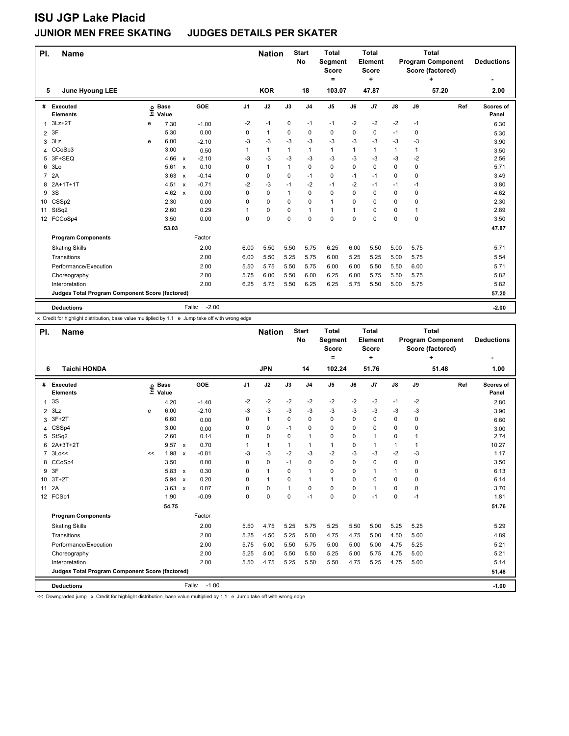| PI.<br><b>Name</b>                              |      |                      |                           |                   |                | <b>Nation</b> |      | <b>Start</b><br>No | <b>Total</b><br><b>Segment</b><br><b>Score</b><br>Ξ. |             | <b>Total</b><br>Element<br><b>Score</b><br>÷ |      |              | <b>Total</b><br><b>Program Component</b><br>Score (factored) | <b>Deductions</b>  |
|-------------------------------------------------|------|----------------------|---------------------------|-------------------|----------------|---------------|------|--------------------|------------------------------------------------------|-------------|----------------------------------------------|------|--------------|--------------------------------------------------------------|--------------------|
| 5<br><b>June Hyoung LEE</b>                     |      |                      |                           |                   |                | <b>KOR</b>    |      | 18                 | 103.07                                               |             | 47.87                                        |      |              | 57.20                                                        | 2.00               |
| Executed<br>#<br><b>Elements</b>                | lnfo | <b>Base</b><br>Value |                           | GOE               | J <sub>1</sub> | J2            | J3   | J <sub>4</sub>     | J5                                                   | J6          | J <sub>7</sub>                               | J8   | J9           | Ref                                                          | Scores of<br>Panel |
| $3Lz + 2T$                                      | e    | 7.30                 |                           | $-1.00$           | $-2$           | $-1$          | 0    | $-1$               | $-1$                                                 | $-2$        | $-2$                                         | $-2$ | $-1$         |                                                              | 6.30               |
| 3F<br>$\overline{2}$                            |      | 5.30                 |                           | 0.00              | 0              | $\mathbf{1}$  | 0    | 0                  | $\mathbf 0$                                          | 0           | 0                                            | $-1$ | 0            |                                                              | 5.30               |
| 3Lz<br>3                                        | e    | 6.00                 |                           | $-2.10$           | -3             | $-3$          | $-3$ | $-3$               | $-3$                                                 | $-3$        | $-3$                                         | $-3$ | $-3$         |                                                              | 3.90               |
| 4 CCoSp3                                        |      | 3.00                 |                           | 0.50              | 1              | 1             | 1    | 1                  | $\mathbf{1}$                                         | 1           | 1                                            | 1    | $\mathbf{1}$ |                                                              | 3.50               |
| 3F+SEQ<br>5                                     |      | 4.66                 | $\boldsymbol{\mathsf{x}}$ | $-2.10$           | -3             | $-3$          | $-3$ | $-3$               | $-3$                                                 | $-3$        | $-3$                                         | $-3$ | $-2$         |                                                              | 2.56               |
| 3 <sub>LO</sub><br>6                            |      | 5.61                 | $\boldsymbol{\mathsf{x}}$ | 0.10              | 0              | 1             | 1    | 0                  | $\mathbf 0$                                          | $\mathbf 0$ | 0                                            | 0    | $\mathbf 0$  |                                                              | 5.71               |
| 7 2A                                            |      | 3.63                 | $\boldsymbol{\mathsf{x}}$ | $-0.14$           | 0              | $\mathbf 0$   | 0    | $-1$               | $\mathbf 0$                                          | $-1$        | $-1$                                         | 0    | $\Omega$     |                                                              | 3.49               |
| $2A+1T+1T$<br>8                                 |      | 4.51                 | $\boldsymbol{\mathsf{x}}$ | $-0.71$           | $-2$           | $-3$          | $-1$ | $-2$               | $-1$                                                 | $-2$        | $-1$                                         | $-1$ | $-1$         |                                                              | 3.80               |
| 3S<br>9                                         |      | 4.62                 | $\mathbf{x}$              | 0.00              | $\Omega$       | $\mathbf 0$   | 1    | $\Omega$           | $\mathbf 0$                                          | $\Omega$    | 0                                            | 0    | $\Omega$     |                                                              | 4.62               |
| CSSp2<br>10                                     |      | 2.30                 |                           | 0.00              | $\Omega$       | $\mathbf 0$   | 0    | 0                  | $\mathbf{1}$                                         | $\Omega$    | 0                                            | 0    | 0            |                                                              | 2.30               |
| StSq2<br>11                                     |      | 2.60                 |                           | 0.29              | 1              | $\mathbf 0$   | 0    | 1                  | $\mathbf{1}$                                         | 1           | 0                                            | 0    | $\mathbf{1}$ |                                                              | 2.89               |
| FCCoSp4<br>12                                   |      | 3.50                 |                           | 0.00              | $\Omega$       | $\mathbf 0$   | 0    | $\Omega$           | $\Omega$                                             | $\Omega$    | 0                                            | 0    | $\mathbf 0$  |                                                              | 3.50               |
|                                                 |      | 53.03                |                           |                   |                |               |      |                    |                                                      |             |                                              |      |              |                                                              | 47.87              |
| <b>Program Components</b>                       |      |                      |                           | Factor            |                |               |      |                    |                                                      |             |                                              |      |              |                                                              |                    |
| <b>Skating Skills</b>                           |      |                      |                           | 2.00              | 6.00           | 5.50          | 5.50 | 5.75               | 6.25                                                 | 6.00        | 5.50                                         | 5.00 | 5.75         |                                                              | 5.71               |
| Transitions                                     |      |                      |                           | 2.00              | 6.00           | 5.50          | 5.25 | 5.75               | 6.00                                                 | 5.25        | 5.25                                         | 5.00 | 5.75         |                                                              | 5.54               |
| Performance/Execution                           |      |                      |                           | 2.00              | 5.50           | 5.75          | 5.50 | 5.75               | 6.00                                                 | 6.00        | 5.50                                         | 5.50 | 6.00         |                                                              | 5.71               |
| Choreography                                    |      |                      |                           | 2.00              | 5.75           | 6.00          | 5.50 | 6.00               | 6.25                                                 | 6.00        | 5.75                                         | 5.50 | 5.75         |                                                              | 5.82               |
| Interpretation                                  |      |                      |                           | 2.00              | 6.25           | 5.75          | 5.50 | 6.25               | 6.25                                                 | 5.75        | 5.50                                         | 5.00 | 5.75         |                                                              | 5.82               |
| Judges Total Program Component Score (factored) |      |                      |                           |                   |                |               |      |                    |                                                      |             |                                              |      |              |                                                              | 57.20              |
| <b>Deductions</b>                               |      |                      |                           | $-2.00$<br>Falls: |                |               |      |                    |                                                      |             |                                              |      |              |                                                              | $-2.00$            |

x Credit for highlight distribution, base value multiplied by 1.1 e Jump take off with wrong edge

| PI.            | <b>Name</b>                                     |      |                      |                           |                   |          | <b>Nation</b> |          | <b>Start</b><br>No | <b>Total</b><br>Segment<br><b>Score</b><br>$\equiv$ |          | Total<br>Element<br><b>Score</b><br>÷ |      |              | <b>Total</b><br><b>Program Component</b><br>Score (factored)<br>÷ | <b>Deductions</b>  |
|----------------|-------------------------------------------------|------|----------------------|---------------------------|-------------------|----------|---------------|----------|--------------------|-----------------------------------------------------|----------|---------------------------------------|------|--------------|-------------------------------------------------------------------|--------------------|
| 6              | <b>Taichi HONDA</b>                             |      |                      |                           |                   |          | <b>JPN</b>    |          | 14                 | 102.24                                              |          | 51.76                                 |      |              | 51.48                                                             | 1.00               |
| #              | <b>Executed</b><br><b>Elements</b>              | ١nf٥ | <b>Base</b><br>Value |                           | GOE               | J1       | J2            | J3       | J <sub>4</sub>     | J <sub>5</sub>                                      | J6       | J <sub>7</sub>                        | J8   | J9           | Ref                                                               | Scores of<br>Panel |
| $\mathbf{1}$   | 3S                                              |      | 4.20                 |                           | $-1.40$           | -2       | $-2$          | $-2$     | $-2$               | $-2$                                                | $-2$     | $-2$                                  | $-1$ | $-2$         |                                                                   | 2.80               |
| $\overline{2}$ | 3Lz                                             | e    | 6.00                 |                           | $-2.10$           | -3       | $-3$          | $-3$     | $-3$               | $-3$                                                | $-3$     | $-3$                                  | -3   | $-3$         |                                                                   | 3.90               |
| 3              | $3F+2T$                                         |      | 6.60                 |                           | 0.00              | 0        | $\mathbf{1}$  | $\Omega$ | $\mathbf 0$        | 0                                                   | 0        | $\mathbf 0$                           | 0    | 0            |                                                                   | 6.60               |
| 4              | CSSp4                                           |      | 3.00                 |                           | 0.00              | 0        | $\mathbf 0$   | $-1$     | $\Omega$           | $\Omega$                                            | 0        | $\Omega$                              | 0    | $\Omega$     |                                                                   | 3.00               |
| 5              | StSq2                                           |      | 2.60                 |                           | 0.14              | $\Omega$ | 0             | 0        | 1                  | 0                                                   | 0        | $\mathbf{1}$                          | 0    | $\mathbf{1}$ |                                                                   | 2.74               |
| 6              | 2A+3T+2T                                        |      | 9.57                 | $\mathsf{x}$              | 0.70              | 1        | $\mathbf{1}$  | 1        | 1                  | 1                                                   | 0        | $\mathbf{1}$                          | 1    | $\mathbf{1}$ |                                                                   | 10.27              |
| $\overline{7}$ | 3Lo<<                                           | <<   | 1.98                 | $\boldsymbol{\mathsf{x}}$ | $-0.81$           | -3       | $-3$          | $-2$     | $-3$               | $-2$                                                | -3       | $-3$                                  | $-2$ | -3           |                                                                   | 1.17               |
| 8              | CCoSp4                                          |      | 3.50                 |                           | 0.00              | 0        | $\mathbf 0$   | $-1$     | $\mathbf 0$        | $\Omega$                                            | 0        | $\mathbf 0$                           | 0    | 0            |                                                                   | 3.50               |
| 9              | 3F                                              |      | 5.83                 | $\mathbf{x}$              | 0.30              | 0        | $\mathbf{1}$  | $\Omega$ | 1                  | $\Omega$                                            | 0        | $\overline{1}$                        | 1    | $\Omega$     |                                                                   | 6.13               |
| 10             | $3T+2T$                                         |      | 5.94                 | $\boldsymbol{\mathsf{x}}$ | 0.20              | 0        | $\mathbf{1}$  | 0        | 1                  | 1                                                   | 0        | 0                                     | 0    | 0            |                                                                   | 6.14               |
| 11             | 2A                                              |      | 3.63                 | $\mathsf{x}$              | 0.07              | 0        | 0             | 1        | 0                  | 0                                                   | 0        | $\overline{1}$                        | 0    | 0            |                                                                   | 3.70               |
|                | 12 FCSp1                                        |      | 1.90                 |                           | $-0.09$           | $\Omega$ | 0             | $\Omega$ | $-1$               | $\Omega$                                            | $\Omega$ | $-1$                                  | 0    | $-1$         |                                                                   | 1.81               |
|                |                                                 |      | 54.75                |                           |                   |          |               |          |                    |                                                     |          |                                       |      |              |                                                                   | 51.76              |
|                | <b>Program Components</b>                       |      |                      |                           | Factor            |          |               |          |                    |                                                     |          |                                       |      |              |                                                                   |                    |
|                | <b>Skating Skills</b>                           |      |                      |                           | 2.00              | 5.50     | 4.75          | 5.25     | 5.75               | 5.25                                                | 5.50     | 5.00                                  | 5.25 | 5.25         |                                                                   | 5.29               |
|                | Transitions                                     |      |                      |                           | 2.00              | 5.25     | 4.50          | 5.25     | 5.00               | 4.75                                                | 4.75     | 5.00                                  | 4.50 | 5.00         |                                                                   | 4.89               |
|                | Performance/Execution                           |      |                      |                           | 2.00              | 5.75     | 5.00          | 5.50     | 5.75               | 5.00                                                | 5.00     | 5.00                                  | 4.75 | 5.25         |                                                                   | 5.21               |
|                | Choreography                                    |      |                      |                           | 2.00              | 5.25     | 5.00          | 5.50     | 5.50               | 5.25                                                | 5.00     | 5.75                                  | 4.75 | 5.00         |                                                                   | 5.21               |
|                | Interpretation                                  |      |                      |                           | 2.00              | 5.50     | 4.75          | 5.25     | 5.50               | 5.50                                                | 4.75     | 5.25                                  | 4.75 | 5.00         |                                                                   | 5.14               |
|                | Judges Total Program Component Score (factored) |      |                      |                           |                   |          |               |          |                    |                                                     |          |                                       |      |              |                                                                   | 51.48              |
|                | <b>Deductions</b>                               |      |                      |                           | $-1.00$<br>Falls: |          |               |          |                    |                                                     |          |                                       |      |              |                                                                   | $-1.00$            |

<< Downgraded jump x Credit for highlight distribution, base value multiplied by 1.1 e Jump take off with wrong edge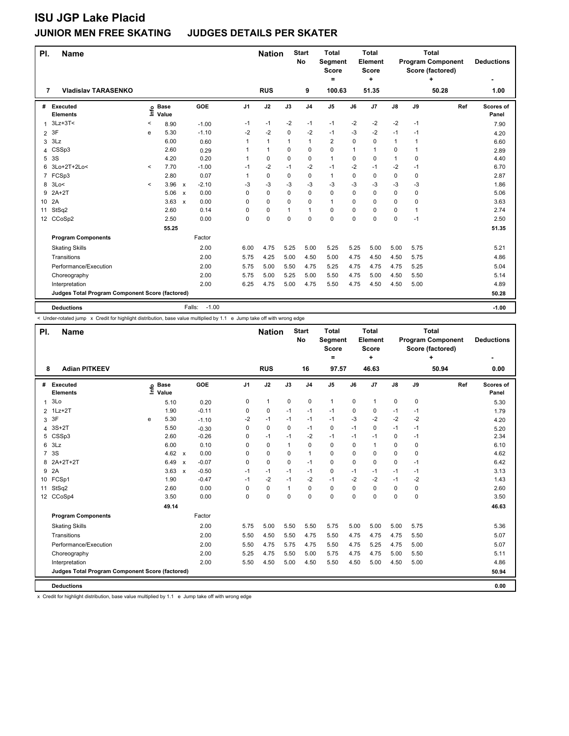| PI.<br><b>Name</b>                              |         |                      |                           |                   |                | <b>Nation</b> |              | <b>Start</b><br>No | <b>Total</b><br>Segment<br>Score<br>= |          | <b>Total</b><br>Element<br>Score<br>٠ |              |          | <b>Total</b><br><b>Program Component</b><br>Score (factored) | <b>Deductions</b>  |
|-------------------------------------------------|---------|----------------------|---------------------------|-------------------|----------------|---------------|--------------|--------------------|---------------------------------------|----------|---------------------------------------|--------------|----------|--------------------------------------------------------------|--------------------|
| <b>Vladislav TARASENKO</b><br>7                 |         |                      |                           |                   |                | <b>RUS</b>    |              | 9                  | 100.63                                |          | 51.35                                 |              |          | 50.28                                                        | 1.00               |
| Executed<br>#<br><b>Elements</b>                | Info    | <b>Base</b><br>Value |                           | GOE               | J <sub>1</sub> | J2            | J3           | J <sub>4</sub>     | J5                                    | J6       | J7                                    | J8           | J9       | Ref                                                          | Scores of<br>Panel |
| $3Lz + 3T <$<br>1                               | $\,<\,$ | 8.90                 |                           | $-1.00$           | $-1$           | $-1$          | $-2$         | $-1$               | $-1$                                  | $-2$     | $-2$                                  | $-2$         | $-1$     |                                                              | 7.90               |
| 3F<br>2                                         | e       | 5.30                 |                           | $-1.10$           | $-2$           | $-2$          | $\mathbf 0$  | $-2$               | $-1$                                  | $-3$     | $-2$                                  | $-1$         | $-1$     |                                                              | 4.20               |
| 3Lz<br>3                                        |         | 6.00                 |                           | 0.60              | 1              | $\mathbf{1}$  | $\mathbf{1}$ | $\mathbf{1}$       | $\overline{2}$                        | $\Omega$ | 0                                     | $\mathbf{1}$ | 1        |                                                              | 6.60               |
| CSSp3<br>4                                      |         | 2.60                 |                           | 0.29              | 1              | 1             | 0            | $\Omega$           | $\Omega$                              | 1        | 1                                     | 0            | 1        |                                                              | 2.89               |
| 3S<br>5                                         |         | 4.20                 |                           | 0.20              | $\mathbf{1}$   | 0             | 0            | 0                  | $\mathbf{1}$                          | $\Omega$ | $\Omega$                              | 1            | $\Omega$ |                                                              | 4.40               |
| 3Lo+2T+2Lo<<br>6                                | $\prec$ | 7.70                 |                           | $-1.00$           | $-1$           | $-2$          | $-1$         | $-2$               | $-1$                                  | $-2$     | $-1$                                  | $-2$         | $-1$     |                                                              | 6.70               |
| 7 FCSp3                                         |         | 2.80                 |                           | 0.07              | 1              | 0             | $\mathbf 0$  | 0                  | $\mathbf{1}$                          | 0        | 0                                     | 0            | 0        |                                                              | 2.87               |
| 8 3Lo<                                          | $\prec$ | 3.96                 | $\boldsymbol{\mathsf{x}}$ | $-2.10$           | -3             | $-3$          | $-3$         | $-3$               | $-3$                                  | -3       | $-3$                                  | $-3$         | $-3$     |                                                              | 1.86               |
| $2A+2T$<br>9                                    |         | 5.06                 | $\boldsymbol{\mathsf{x}}$ | 0.00              | 0              | 0             | 0            | $\Omega$           | $\mathbf 0$                           | $\Omega$ | 0                                     | 0            | 0        |                                                              | 5.06               |
| 2A<br>10                                        |         | 3.63                 | $\boldsymbol{\mathsf{x}}$ | 0.00              | 0              | 0             | 0            | $\Omega$           | $\mathbf{1}$                          | $\Omega$ | 0                                     | 0            | $\Omega$ |                                                              | 3.63               |
| StSq2<br>11                                     |         | 2.60                 |                           | 0.14              | 0              | 0             | 1            | -1                 | 0                                     | 0        | 0                                     | 0            | 1        |                                                              | 2.74               |
| 12 <sup>2</sup><br>CCoSp2                       |         | 2.50                 |                           | 0.00              | $\Omega$       | 0             | 0            | $\Omega$           | $\mathbf 0$                           | $\Omega$ | 0                                     | 0            | $-1$     |                                                              | 2.50               |
|                                                 |         | 55.25                |                           |                   |                |               |              |                    |                                       |          |                                       |              |          |                                                              | 51.35              |
| <b>Program Components</b>                       |         |                      |                           | Factor            |                |               |              |                    |                                       |          |                                       |              |          |                                                              |                    |
| <b>Skating Skills</b>                           |         |                      |                           | 2.00              | 6.00           | 4.75          | 5.25         | 5.00               | 5.25                                  | 5.25     | 5.00                                  | 5.00         | 5.75     |                                                              | 5.21               |
| Transitions                                     |         |                      |                           | 2.00              | 5.75           | 4.25          | 5.00         | 4.50               | 5.00                                  | 4.75     | 4.50                                  | 4.50         | 5.75     |                                                              | 4.86               |
| Performance/Execution                           |         |                      |                           | 2.00              | 5.75           | 5.00          | 5.50         | 4.75               | 5.25                                  | 4.75     | 4.75                                  | 4.75         | 5.25     |                                                              | 5.04               |
| Choreography                                    |         |                      |                           | 2.00              | 5.75           | 5.00          | 5.25         | 5.00               | 5.50                                  | 4.75     | 5.00                                  | 4.50         | 5.50     |                                                              | 5.14               |
| Interpretation                                  |         |                      |                           | 2.00              | 6.25           | 4.75          | 5.00         | 4.75               | 5.50                                  | 4.75     | 4.50                                  | 4.50         | 5.00     |                                                              | 4.89               |
| Judges Total Program Component Score (factored) |         |                      |                           |                   |                |               |              |                    |                                       |          |                                       |              |          |                                                              | 50.28              |
| <b>Deductions</b>                               |         |                      |                           | $-1.00$<br>Falls: |                |               |              |                    |                                       |          |                                       |              |          |                                                              | $-1.00$            |

< Under-rotated jump x Credit for highlight distribution, base value multiplied by 1.1 e Jump take off with wrong edge

| PI.              | <b>Name</b>                                     |   |                            |                           |         |                | <b>Nation</b> |      | <b>Start</b><br>No | <b>Total</b><br>Segment<br><b>Score</b><br>$\equiv$ |          | Total<br>Element<br><b>Score</b><br>÷ |             |      | <b>Total</b><br><b>Program Component</b><br>Score (factored)<br>÷ | <b>Deductions</b>  |
|------------------|-------------------------------------------------|---|----------------------------|---------------------------|---------|----------------|---------------|------|--------------------|-----------------------------------------------------|----------|---------------------------------------|-------------|------|-------------------------------------------------------------------|--------------------|
| 8                | <b>Adian PITKEEV</b>                            |   |                            |                           |         |                | <b>RUS</b>    |      | 16                 | 97.57                                               |          | 46.63                                 |             |      | 50.94                                                             | 0.00               |
| #                | Executed<br><b>Elements</b>                     |   | e Base<br>E Value<br>Value |                           | GOE     | J <sub>1</sub> | J2            | J3   | J <sub>4</sub>     | J <sub>5</sub>                                      | J6       | J7                                    | J8          | J9   | Ref                                                               | Scores of<br>Panel |
| $\mathbf{1}$     | 3Lo                                             |   | 5.10                       |                           | 0.20    | 0              | 1             | 0    | 0                  | $\mathbf{1}$                                        | 0        | $\mathbf{1}$                          | 0           | 0    |                                                                   | 5.30               |
| $\overline{2}$   | $1Lz+2T$                                        |   | 1.90                       |                           | $-0.11$ | $\mathbf 0$    | 0             | $-1$ | $-1$               | $-1$                                                | 0        | 0                                     | $-1$        | $-1$ |                                                                   | 1.79               |
| 3                | 3F                                              | e | 5.30                       |                           | $-1.10$ | $-2$           | $-1$          | $-1$ | $-1$               | $-1$                                                | $-3$     | $-2$                                  | $-2$        | $-2$ |                                                                   | 4.20               |
| 4                | $3S+2T$                                         |   | 5.50                       |                           | $-0.30$ | $\mathbf 0$    | 0             | 0    | $-1$               | 0                                                   | $-1$     | 0                                     | $-1$        | $-1$ |                                                                   | 5.20               |
| 5                | CSSp3                                           |   | 2.60                       |                           | $-0.26$ | 0              | $-1$          | $-1$ | $-2$               | $-1$                                                | $-1$     | $-1$                                  | 0           | $-1$ |                                                                   | 2.34               |
| 6                | 3Lz                                             |   | 6.00                       |                           | 0.10    | $\Omega$       | $\Omega$      | 1    | 0                  | 0                                                   | $\Omega$ | $\overline{1}$                        | 0           | 0    |                                                                   | 6.10               |
| $\overline{7}$   | 3S                                              |   | 4.62 $\times$              |                           | 0.00    | 0              | 0             | 0    | 1                  | 0                                                   | 0        | 0                                     | 0           | 0    |                                                                   | 4.62               |
| 8                | 2A+2T+2T                                        |   | 6.49                       | $\boldsymbol{\mathsf{x}}$ | $-0.07$ | $\Omega$       | $\mathbf 0$   | 0    | $-1$               | 0                                                   | $\Omega$ | $\mathbf 0$                           | $\mathbf 0$ | $-1$ |                                                                   | 6.42               |
| 9                | 2A                                              |   | 3.63                       | $\boldsymbol{\mathsf{x}}$ | $-0.50$ | $-1$           | $-1$          | $-1$ | $-1$               | 0                                                   | $-1$     | $-1$                                  | $-1$        | $-1$ |                                                                   | 3.13               |
| 10               | FCSp1                                           |   | 1.90                       |                           | $-0.47$ | $-1$           | $-2$          | $-1$ | $-2$               | $-1$                                                | $-2$     | $-2$                                  | $-1$        | $-2$ |                                                                   | 1.43               |
| 11               | StSq2                                           |   | 2.60                       |                           | 0.00    | $\Omega$       | $\Omega$      | 1    | 0                  | 0                                                   | $\Omega$ | 0                                     | 0           | 0    |                                                                   | 2.60               |
| 12 <sup>12</sup> | CCoSp4                                          |   | 3.50                       |                           | 0.00    | $\Omega$       | $\Omega$      | 0    | 0                  | 0                                                   | $\Omega$ | $\Omega$                              | 0           | 0    |                                                                   | 3.50               |
|                  |                                                 |   | 49.14                      |                           |         |                |               |      |                    |                                                     |          |                                       |             |      |                                                                   | 46.63              |
|                  | <b>Program Components</b>                       |   |                            |                           | Factor  |                |               |      |                    |                                                     |          |                                       |             |      |                                                                   |                    |
|                  | <b>Skating Skills</b>                           |   |                            |                           | 2.00    | 5.75           | 5.00          | 5.50 | 5.50               | 5.75                                                | 5.00     | 5.00                                  | 5.00        | 5.75 |                                                                   | 5.36               |
|                  | Transitions                                     |   |                            |                           | 2.00    | 5.50           | 4.50          | 5.50 | 4.75               | 5.50                                                | 4.75     | 4.75                                  | 4.75        | 5.50 |                                                                   | 5.07               |
|                  | Performance/Execution                           |   |                            |                           | 2.00    | 5.50           | 4.75          | 5.75 | 4.75               | 5.50                                                | 4.75     | 5.25                                  | 4.75        | 5.00 |                                                                   | 5.07               |
|                  | Choreography                                    |   |                            |                           | 2.00    | 5.25           | 4.75          | 5.50 | 5.00               | 5.75                                                | 4.75     | 4.75                                  | 5.00        | 5.50 |                                                                   | 5.11               |
|                  | Interpretation                                  |   |                            |                           | 2.00    | 5.50           | 4.50          | 5.00 | 4.50               | 5.50                                                | 4.50     | 5.00                                  | 4.50        | 5.00 |                                                                   | 4.86               |
|                  | Judges Total Program Component Score (factored) |   |                            |                           |         |                |               |      |                    |                                                     |          |                                       |             |      |                                                                   | 50.94              |
|                  | <b>Deductions</b>                               |   |                            |                           |         |                |               |      |                    |                                                     |          |                                       |             |      |                                                                   | 0.00               |

x Credit for highlight distribution, base value multiplied by 1.1 e Jump take off with wrong edge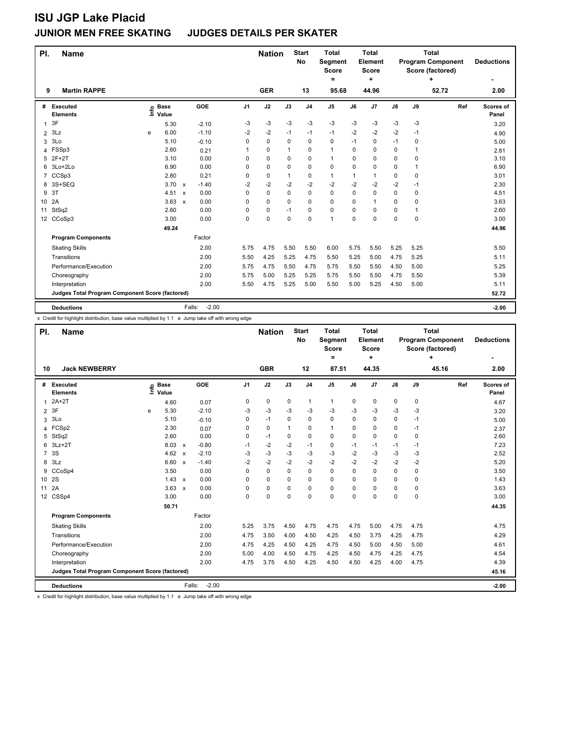| PI.            | <b>Name</b>                                     |      |                      |              |                   |                | <b>Nation</b> |          | <b>Start</b><br>No | <b>Total</b><br>Segment<br><b>Score</b><br>= |              | <b>Total</b><br>Element<br>Score<br>٠ |      |      | <b>Total</b><br><b>Program Component</b><br>Score (factored)<br>۰ | <b>Deductions</b>  |
|----------------|-------------------------------------------------|------|----------------------|--------------|-------------------|----------------|---------------|----------|--------------------|----------------------------------------------|--------------|---------------------------------------|------|------|-------------------------------------------------------------------|--------------------|
| 9              | <b>Martin RAPPE</b>                             |      |                      |              |                   |                | <b>GER</b>    |          | 13                 | 95.68                                        |              | 44.96                                 |      |      | 52.72                                                             | 2.00               |
| #              | Executed<br><b>Elements</b>                     | ١ifo | <b>Base</b><br>Value |              | GOE               | J <sub>1</sub> | J2            | J3       | J <sub>4</sub>     | J <sub>5</sub>                               | J6           | J <sub>7</sub>                        | J8   | J9   | Ref                                                               | Scores of<br>Panel |
|                | 3F                                              |      | 5.30                 |              | $-2.10$           | -3             | $-3$          | $-3$     | $-3$               | $-3$                                         | $-3$         | $-3$                                  | $-3$ | -3   |                                                                   | 3.20               |
| $\overline{2}$ | 3Lz                                             | e    | 6.00                 |              | $-1.10$           | $-2$           | $-2$          | $-1$     | $-1$               | $-1$                                         | $-2$         | $-2$                                  | $-2$ | $-1$ |                                                                   | 4.90               |
| 3              | 3Lo                                             |      | 5.10                 |              | $-0.10$           | 0              | 0             | 0        | 0                  | 0                                            | $-1$         | 0                                     | $-1$ | 0    |                                                                   | 5.00               |
| 4              | FSSp3                                           |      | 2.60                 |              | 0.21              | 1              | 0             | 1        | 0                  | $\mathbf{1}$                                 | 0            | 0                                     | 0    | 1    |                                                                   | 2.81               |
|                | 5 2F+2T                                         |      | 3.10                 |              | 0.00              | $\Omega$       | 0             | 0        | 0                  | $\mathbf{1}$                                 | 0            | $\Omega$                              | 0    | 0    |                                                                   | 3.10               |
|                | 6 3Lo+2Lo                                       |      | 6.90                 |              | 0.00              | 0              | 0             | $\Omega$ | 0                  | $\mathbf 0$                                  | 0            | $\Omega$                              | 0    | 1    |                                                                   | 6.90               |
|                | 7 CCSp3                                         |      | 2.80                 |              | 0.21              | 0              | 0             | 1        | 0                  | $\mathbf{1}$                                 | $\mathbf{1}$ | $\overline{1}$                        | 0    | 0    |                                                                   | 3.01               |
| 8              | 3S+SEQ                                          |      | 3.70                 | $\mathsf{x}$ | $-1.40$           | $-2$           | $-2$          | $-2$     | $-2$               | $-2$                                         | $-2$         | $-2$                                  | $-2$ | $-1$ |                                                                   | 2.30               |
| 9              | 3T                                              |      | 4.51                 | $\mathsf{x}$ | 0.00              | 0              | $\mathbf 0$   | $\Omega$ | 0                  | $\mathbf 0$                                  | $\Omega$     | $\Omega$                              | 0    | 0    |                                                                   | 4.51               |
| 10             | 2A                                              |      | 3.63                 | $\mathsf{x}$ | 0.00              | 0              | $\mathbf 0$   | $\Omega$ | 0                  | $\mathbf 0$                                  | 0            |                                       | 0    | 0    |                                                                   | 3.63               |
| 11             | StSq2                                           |      | 2.60                 |              | 0.00              | 0              | $\mathbf 0$   | $-1$     | 0                  | 0                                            | 0            | 0                                     | 0    | 1    |                                                                   | 2.60               |
| 12             | CCoSp3                                          |      | 3.00                 |              | 0.00              | 0              | $\mathbf 0$   | 0        | 0                  | $\overline{1}$                               | $\Omega$     | $\Omega$                              | 0    | 0    |                                                                   | 3.00               |
|                |                                                 |      | 49.24                |              |                   |                |               |          |                    |                                              |              |                                       |      |      |                                                                   | 44.96              |
|                | <b>Program Components</b>                       |      |                      |              | Factor            |                |               |          |                    |                                              |              |                                       |      |      |                                                                   |                    |
|                | <b>Skating Skills</b>                           |      |                      |              | 2.00              | 5.75           | 4.75          | 5.50     | 5.50               | 6.00                                         | 5.75         | 5.50                                  | 5.25 | 5.25 |                                                                   | 5.50               |
|                | Transitions                                     |      |                      |              | 2.00              | 5.50           | 4.25          | 5.25     | 4.75               | 5.50                                         | 5.25         | 5.00                                  | 4.75 | 5.25 |                                                                   | 5.11               |
|                | Performance/Execution                           |      |                      |              | 2.00              | 5.75           | 4.75          | 5.50     | 4.75               | 5.75                                         | 5.50         | 5.50                                  | 4.50 | 5.00 |                                                                   | 5.25               |
|                | Choreography                                    |      |                      |              | 2.00              | 5.75           | 5.00          | 5.25     | 5.25               | 5.75                                         | 5.50         | 5.50                                  | 4.75 | 5.50 |                                                                   | 5.39               |
|                | Interpretation                                  |      |                      |              | 2.00              | 5.50           | 4.75          | 5.25     | 5.00               | 5.50                                         | 5.00         | 5.25                                  | 4.50 | 5.00 |                                                                   | 5.11               |
|                | Judges Total Program Component Score (factored) |      |                      |              |                   |                |               |          |                    |                                              |              |                                       |      |      |                                                                   | 52.72              |
|                | <b>Deductions</b>                               |      |                      |              | $-2.00$<br>Falls: |                |               |          |                    |                                              |              |                                       |      |      |                                                                   | $-2.00$            |

x Credit for highlight distribution, base value multiplied by 1.1 e Jump take off with wrong edge

| PI.             | <b>Name</b>                                     |      |                      |                           |                   |      | <b>Nation</b> |             | <b>Start</b><br>No | <b>Total</b><br>Segment<br><b>Score</b><br>Ξ |          | <b>Total</b><br>Element<br>Score<br>÷ |               |             | <b>Total</b><br><b>Program Component</b><br>Score (factored)<br>÷ | <b>Deductions</b>  |
|-----------------|-------------------------------------------------|------|----------------------|---------------------------|-------------------|------|---------------|-------------|--------------------|----------------------------------------------|----------|---------------------------------------|---------------|-------------|-------------------------------------------------------------------|--------------------|
| 10              | <b>Jack NEWBERRY</b>                            |      |                      |                           |                   |      | <b>GBR</b>    |             | 12                 | 87.51                                        |          | 44.35                                 |               |             | 45.16                                                             | 2.00               |
| #               | Executed<br><b>Elements</b>                     | ١nfo | <b>Base</b><br>Value |                           | GOE               | J1   | J2            | J3          | J <sub>4</sub>     | J <sub>5</sub>                               | J6       | J <sub>7</sub>                        | $\mathsf{J}8$ | J9          | Ref                                                               | Scores of<br>Panel |
| $\mathbf{1}$    | $2A+2T$                                         |      | 4.60                 |                           | 0.07              | 0    | 0             | 0           | 1                  | 1                                            | 0        | $\pmb{0}$                             | 0             | 0           |                                                                   | 4.67               |
| $\overline{2}$  | 3F                                              | e    | 5.30                 |                           | $-2.10$           | -3   | $-3$          | $-3$        | $-3$               | $-3$                                         | -3       | $-3$                                  | $-3$          | -3          |                                                                   | 3.20               |
| 3               | 3Lo                                             |      | 5.10                 |                           | $-0.10$           | 0    | $-1$          | 0           | 0                  | 0                                            | 0        | $\mathbf 0$                           | 0             | $-1$        |                                                                   | 5.00               |
| 4               | FCSp2                                           |      | 2.30                 |                           | 0.07              | 0    | $\mathbf 0$   | $\mathbf 1$ | $\Omega$           | $\mathbf{1}$                                 | $\Omega$ | $\Omega$                              | $\mathbf 0$   | $-1$        |                                                                   | 2.37               |
| 5               | StSq2                                           |      | 2.60                 |                           | 0.00              | 0    | $-1$          | $\Omega$    | $\Omega$           | 0                                            | $\Omega$ | $\Omega$                              | $\Omega$      | $\Omega$    |                                                                   | 2.60               |
| 6               | $3Lz + 2T$                                      |      | 8.03                 | $\boldsymbol{\mathsf{x}}$ | $-0.80$           | $-1$ | $-2$          | $-2$        | $-1$               | 0                                            | $-1$     | $-1$                                  | -1            | $-1$        |                                                                   | 7.23               |
| $\overline{7}$  | 3S                                              |      | 4.62                 | $\boldsymbol{\mathsf{x}}$ | $-2.10$           | -3   | $-3$          | $-3$        | $-3$               | $-3$                                         | $-2$     | $-3$                                  | $-3$          | -3          |                                                                   | 2.52               |
| 8               | 3Lz                                             |      | 6.60                 | $\boldsymbol{\mathsf{x}}$ | $-1.40$           | $-2$ | $-2$          | $-2$        | $-2$               | $-2$                                         | $-2$     | $-2$                                  | $-2$          | $-2$        |                                                                   | 5.20               |
| 9               | CCoSp4                                          |      | 3.50                 |                           | 0.00              | 0    | $\Omega$      | $\Omega$    | $\Omega$           | $\Omega$                                     | $\Omega$ | $\Omega$                              | $\Omega$      | $\Omega$    |                                                                   | 3.50               |
| 10 <sup>°</sup> | 2S                                              |      | 1.43                 | $\boldsymbol{\mathsf{x}}$ | 0.00              | 0    | $\Omega$      | $\Omega$    | 0                  | 0                                            | $\Omega$ | $\mathbf 0$                           | 0             | $\Omega$    |                                                                   | 1.43               |
| 11              | 2A                                              |      | 3.63                 | $\boldsymbol{\mathsf{x}}$ | 0.00              | 0    | 0             | $\Omega$    | 0                  | 0                                            | 0        | $\mathbf 0$                           | 0             | 0           |                                                                   | 3.63               |
| 12 <sup>2</sup> | CSSp4                                           |      | 3.00                 |                           | 0.00              | 0    | $\Omega$      | $\Omega$    | $\Omega$           | 0                                            | $\Omega$ | $\mathbf 0$                           | $\Omega$      | $\mathbf 0$ |                                                                   | 3.00               |
|                 |                                                 |      | 50.71                |                           |                   |      |               |             |                    |                                              |          |                                       |               |             |                                                                   | 44.35              |
|                 | <b>Program Components</b>                       |      |                      |                           | Factor            |      |               |             |                    |                                              |          |                                       |               |             |                                                                   |                    |
|                 | <b>Skating Skills</b>                           |      |                      |                           | 2.00              | 5.25 | 3.75          | 4.50        | 4.75               | 4.75                                         | 4.75     | 5.00                                  | 4.75          | 4.75        |                                                                   | 4.75               |
|                 | Transitions                                     |      |                      |                           | 2.00              | 4.75 | 3.50          | 4.00        | 4.50               | 4.25                                         | 4.50     | 3.75                                  | 4.25          | 4.75        |                                                                   | 4.29               |
|                 | Performance/Execution                           |      |                      |                           | 2.00              | 4.75 | 4.25          | 4.50        | 4.25               | 4.75                                         | 4.50     | 5.00                                  | 4.50          | 5.00        |                                                                   | 4.61               |
|                 | Choreography                                    |      |                      |                           | 2.00              | 5.00 | 4.00          | 4.50        | 4.75               | 4.25                                         | 4.50     | 4.75                                  | 4.25          | 4.75        |                                                                   | 4.54               |
|                 | Interpretation                                  |      |                      |                           | 2.00              | 4.75 | 3.75          | 4.50        | 4.25               | 4.50                                         | 4.50     | 4.25                                  | 4.00          | 4.75        |                                                                   | 4.39               |
|                 | Judges Total Program Component Score (factored) |      |                      |                           |                   |      |               |             |                    |                                              |          |                                       |               |             |                                                                   | 45.16              |
|                 | <b>Deductions</b>                               |      |                      |                           | $-2.00$<br>Falls: |      |               |             |                    |                                              |          |                                       |               |             |                                                                   | $-2.00$            |

x Credit for highlight distribution, base value multiplied by 1.1 e Jump take off with wrong edge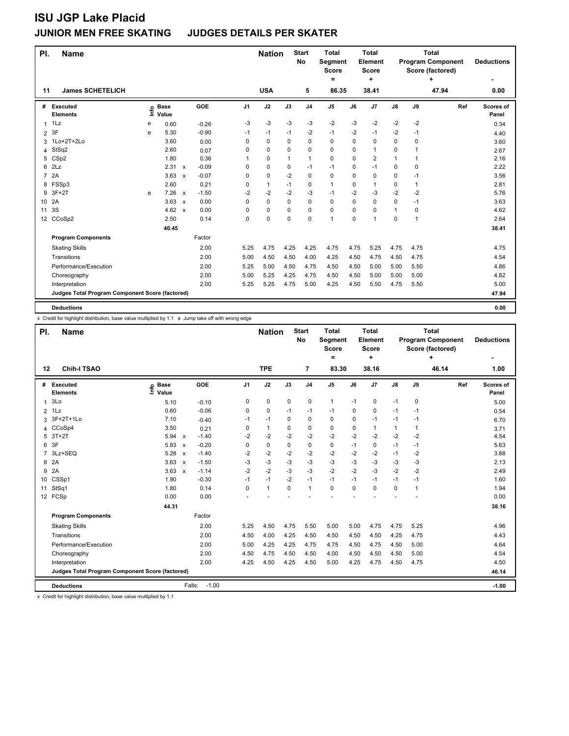| PI.<br><b>Name</b>                              |      |                      |                           |         |                | <b>Nation</b> |              | <b>Start</b><br>No | <b>Total</b><br>Segment<br>Score<br>= |          | <b>Total</b><br>Element<br><b>Score</b><br>٠ |              |             | <b>Total</b><br><b>Program Component</b><br>Score (factored) | <b>Deductions</b>  |
|-------------------------------------------------|------|----------------------|---------------------------|---------|----------------|---------------|--------------|--------------------|---------------------------------------|----------|----------------------------------------------|--------------|-------------|--------------------------------------------------------------|--------------------|
| <b>James SCHETELICH</b><br>11                   |      |                      |                           |         |                | <b>USA</b>    |              | 5                  | 86.35                                 |          | 38.41                                        |              |             | 47.94                                                        | 0.00               |
| #<br>Executed<br><b>Elements</b>                | info | <b>Base</b><br>Value |                           | GOE     | J <sub>1</sub> | J2            | J3           | J <sub>4</sub>     | J5                                    | J6       | J7                                           | J8           | J9          | Ref                                                          | Scores of<br>Panel |
| 1Lz<br>1                                        | е    | 0.60                 |                           | $-0.26$ | -3             | $-3$          | $-3$         | -3                 | $-2$                                  | -3       | $-2$                                         | $-2$         | $-2$        |                                                              | 0.34               |
| 3F<br>2                                         | e    | 5.30                 |                           | $-0.90$ | $-1$           | $-1$          | $-1$         | $-2$               | $-1$                                  | $-2$     | $-1$                                         | $-2$         | $-1$        |                                                              | 4.40               |
| 3 1Lo+2T+2Lo                                    |      | 3.60                 |                           | 0.00    | 0              | 0             | $\Omega$     | 0                  | $\Omega$                              | 0        | $\Omega$                                     | 0            | 0           |                                                              | 3.60               |
| StSq2<br>4                                      |      | 2.60                 |                           | 0.07    | 0              | 0             | 0            | $\Omega$           | 0                                     | 0        | 1                                            | 0            | 1           |                                                              | 2.67               |
| CSp2<br>5                                       |      | 1.80                 |                           | 0.36    | 1              | 0             | $\mathbf{1}$ | $\mathbf{1}$       | $\mathbf 0$                           | $\Omega$ | 2                                            | $\mathbf{1}$ | 1           |                                                              | 2.16               |
| 2Lz<br>6                                        |      | 2.31                 | $\boldsymbol{\mathsf{x}}$ | $-0.09$ | 0              | 0             | 0            | $-1$               | $-1$                                  | 0        | $-1$                                         | 0            | 0           |                                                              | 2.22               |
| 2A<br>$\overline{7}$                            |      | 3.63                 | $\mathsf{x}$              | $-0.07$ | 0              | 0             | $-2$         | 0                  | $\mathbf 0$                           | 0        | 0                                            | 0            | $-1$        |                                                              | 3.56               |
| FSSp3<br>8                                      |      | 2.60                 |                           | 0.21    | 0              | $\mathbf{1}$  | $-1$         | 0                  | $\mathbf{1}$                          | 0        | 1                                            | 0            | 1           |                                                              | 2.81               |
| $3F+2T$<br>9                                    | e    | 7.26                 | $\mathsf{x}$              | $-1.50$ | -2             | $-2$          | $-2$         | -3                 | $-1$                                  | $-2$     | $-3$                                         | $-2$         | $-2$        |                                                              | 5.76               |
| 2A<br>10                                        |      | 3.63                 | $\mathsf{x}$              | 0.00    | 0              | 0             | $\Omega$     | $\mathbf 0$        | $\mathbf 0$                           | $\Omega$ | $\Omega$                                     | 0            | $-1$        |                                                              | 3.63               |
| 3S<br>11                                        |      | 4.62                 | $\mathsf{x}$              | 0.00    | 0              | 0             | 0            | $\mathbf 0$        | 0                                     | 0        | 0                                            | $\mathbf{1}$ | $\mathbf 0$ |                                                              | 4.62               |
| CCoSp2<br>12 <sup>2</sup>                       |      | 2.50                 |                           | 0.14    | 0              | 0             | 0            | 0                  | 1                                     | 0        | 1                                            | 0            | 1           |                                                              | 2.64               |
|                                                 |      | 40.45                |                           |         |                |               |              |                    |                                       |          |                                              |              |             |                                                              | 38.41              |
| <b>Program Components</b>                       |      |                      |                           | Factor  |                |               |              |                    |                                       |          |                                              |              |             |                                                              |                    |
| <b>Skating Skills</b>                           |      |                      |                           | 2.00    | 5.25           | 4.75          | 4.25         | 4.25               | 4.75                                  | 4.75     | 5.25                                         | 4.75         | 4.75        |                                                              | 4.75               |
| Transitions                                     |      |                      |                           | 2.00    | 5.00           | 4.50          | 4.50         | 4.00               | 4.25                                  | 4.50     | 4.75                                         | 4.50         | 4.75        |                                                              | 4.54               |
| Performance/Execution                           |      |                      |                           | 2.00    | 5.25           | 5.00          | 4.50         | 4.75               | 4.50                                  | 4.50     | 5.00                                         | 5.00         | 5.50        |                                                              | 4.86               |
| Choreography                                    |      |                      |                           | 2.00    | 5.00           | 5.25          | 4.25         | 4.75               | 4.50                                  | 4.50     | 5.00                                         | 5.00         | 5.00        |                                                              | 4.82               |
| Interpretation                                  |      |                      |                           | 2.00    | 5.25           | 5.25          | 4.75         | 5.00               | 4.25                                  | 4.50     | 5.50                                         | 4.75         | 5.50        |                                                              | 5.00               |
| Judges Total Program Component Score (factored) |      |                      |                           |         |                |               |              |                    |                                       |          |                                              |              |             |                                                              | 47.94              |
| <b>Deductions</b>                               |      |                      |                           |         |                |               |              |                    |                                       |          |                                              |              |             |                                                              | 0.00               |

x Credit for highlight distribution, base value multiplied by 1.1 e Jump take off with wrong edge

| PI.            | <b>Name</b>                                     |                            |                           |         |                | <b>Nation</b> |             | <b>Start</b><br>No | <b>Total</b><br>Segment<br><b>Score</b><br>$=$ |             | <b>Total</b><br>Element<br><b>Score</b><br>÷ |              |             | <b>Total</b><br><b>Program Component</b><br>Score (factored)<br>٠ | <b>Deductions</b><br>۰ |
|----------------|-------------------------------------------------|----------------------------|---------------------------|---------|----------------|---------------|-------------|--------------------|------------------------------------------------|-------------|----------------------------------------------|--------------|-------------|-------------------------------------------------------------------|------------------------|
| 12             | <b>Chih-I TSAO</b>                              |                            |                           |         |                | <b>TPE</b>    |             | 7                  | 83.30                                          |             | 38.16                                        |              |             | 46.14                                                             | 1.00                   |
| #              | Executed<br><b>Elements</b>                     | <b>Base</b><br>۴ů<br>Value |                           | GOE     | J <sub>1</sub> | J2            | J3          | J <sub>4</sub>     | J5                                             | J6          | J7                                           | J8           | J9          | Ref                                                               | Scores of<br>Panel     |
| 1              | 3Lo                                             | 5.10                       |                           | $-0.10$ | 0              | 0             | $\mathbf 0$ | $\mathbf 0$        | $\mathbf{1}$                                   | $-1$        | 0                                            | $-1$         | 0           |                                                                   | 5.00                   |
| $\overline{2}$ | 1Lz                                             | 0.60                       |                           | $-0.06$ | 0              | 0             | $-1$        | $-1$               | $-1$                                           | $\Omega$    | 0                                            | $-1$         | $-1$        |                                                                   | 0.54                   |
| 3              | 3F+2T+1Lo                                       | 7.10                       |                           | $-0.40$ | $-1$           | $-1$          | $\mathbf 0$ | $\mathbf 0$        | 0                                              | $\Omega$    | $-1$                                         | $-1$         | $-1$        |                                                                   | 6.70                   |
|                | 4 CCoSp4                                        | 3.50                       |                           | 0.21    | 0              | $\mathbf{1}$  | $\Omega$    | $\Omega$           | 0                                              | $\Omega$    | $\overline{1}$                               | $\mathbf{1}$ | 1           |                                                                   | 3.71                   |
| 5              | $3T+2T$                                         | 5.94                       | $\mathsf{x}$              | $-1.40$ | $-2$           | $-2$          | $-2$        | $-2$               | $-2$                                           | $-2$        | $-2$                                         | $-2$         | $-2$        |                                                                   | 4.54                   |
| 6              | 3F                                              | 5.83                       | X                         | $-0.20$ | 0              | $\mathbf 0$   | $\mathbf 0$ | $\mathbf 0$        | 0                                              | $-1$        | $\mathbf 0$                                  | $-1$         | $-1$        |                                                                   | 5.63                   |
| 7              | 3Lz+SEQ                                         | 5.28                       | $\boldsymbol{\mathsf{x}}$ | $-1.40$ | $-2$           | $-2$          | $-2$        | $-2$               | $-2$                                           | $-2$        | $-2$                                         | $-1$         | $-2$        |                                                                   | 3.88                   |
| 8              | 2A                                              | 3.63                       | $\mathsf{x}$              | $-1.50$ | $-3$           | $-3$          | $-3$        | $-3$               | $-3$                                           | $-3$        | $-3$                                         | $-3$         | $-3$        |                                                                   | 2.13                   |
| 9              | 2A                                              | 3.63                       | $\mathsf{x}$              | $-1.14$ | $-2$           | $-2$          | $-3$        | $-3$               | $-2$                                           | $-2$        | $-3$                                         | $-2$         | $-2$        |                                                                   | 2.49                   |
| 10             | CSSp1                                           | 1.90                       |                           | $-0.30$ | $-1$           | $-1$          | $-2$        | $-1$               | $-1$                                           | $-1$        | $-1$                                         | $-1$         | $-1$        |                                                                   | 1.60                   |
| 11             | StSq1                                           | 1.80                       |                           | 0.14    | 0              | $\mathbf{1}$  | 0           | $\mathbf{1}$       | 0                                              | $\mathbf 0$ | $\mathbf 0$                                  | 0            | $\mathbf 1$ |                                                                   | 1.94                   |
|                | 12 FCSp                                         | 0.00                       |                           | 0.00    |                |               |             |                    |                                                |             |                                              |              |             |                                                                   | 0.00                   |
|                |                                                 | 44.31                      |                           |         |                |               |             |                    |                                                |             |                                              |              |             |                                                                   | 38.16                  |
|                | <b>Program Components</b>                       |                            |                           | Factor  |                |               |             |                    |                                                |             |                                              |              |             |                                                                   |                        |
|                | <b>Skating Skills</b>                           |                            |                           | 2.00    | 5.25           | 4.50          | 4.75        | 5.50               | 5.00                                           | 5.00        | 4.75                                         | 4.75         | 5.25        |                                                                   | 4.96                   |
|                | Transitions                                     |                            |                           | 2.00    | 4.50           | 4.00          | 4.25        | 4.50               | 4.50                                           | 4.50        | 4.50                                         | 4.25         | 4.75        |                                                                   | 4.43                   |
|                | Performance/Execution                           |                            |                           | 2.00    | 5.00           | 4.25          | 4.25        | 4.75               | 4.75                                           | 4.50        | 4.75                                         | 4.50         | 5.00        |                                                                   | 4.64                   |
|                | Choreography                                    |                            |                           | 2.00    | 4.50           | 4.75          | 4.50        | 4.50               | 4.00                                           | 4.50        | 4.50                                         | 4.50         | 5.00        |                                                                   | 4.54                   |
|                | Interpretation                                  |                            |                           | 2.00    | 4.25           | 4.50          | 4.25        | 4.50               | 5.00                                           | 4.25        | 4.75                                         | 4.50         | 4.75        |                                                                   | 4.50                   |
|                | Judges Total Program Component Score (factored) |                            |                           |         |                |               |             |                    |                                                |             |                                              |              |             |                                                                   | 46.14                  |
|                | <b>Deductions</b>                               |                            | Falls:                    | $-1.00$ |                |               |             |                    |                                                |             |                                              |              |             |                                                                   | $-1.00$                |

x Credit for highlight distribution, base value multiplied by 1.1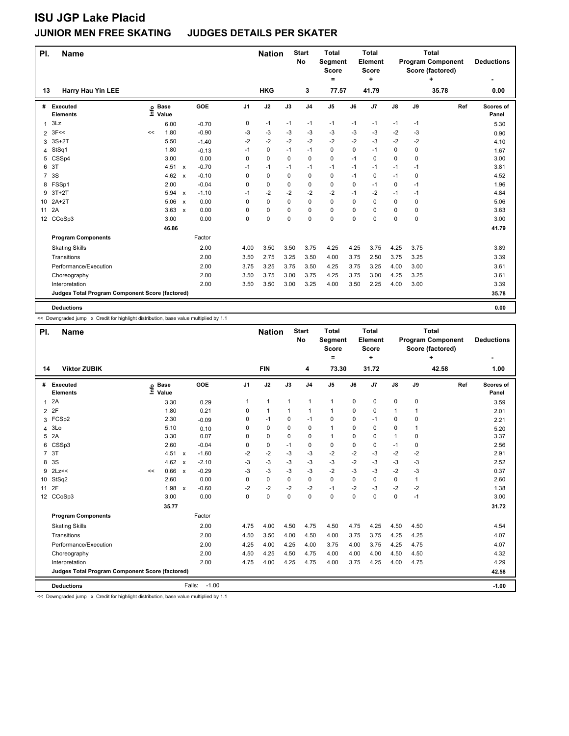| PI.            | <b>Name</b>                                     |      |                      |              |         |                | <b>Nation</b> |          | <b>Start</b><br>No | <b>Total</b><br>Segment<br><b>Score</b><br>= |             | <b>Total</b><br>Element<br><b>Score</b><br>٠ |               |      | <b>Total</b><br><b>Program Component</b><br>Score (factored) | <b>Deductions</b>  |
|----------------|-------------------------------------------------|------|----------------------|--------------|---------|----------------|---------------|----------|--------------------|----------------------------------------------|-------------|----------------------------------------------|---------------|------|--------------------------------------------------------------|--------------------|
| 13             | <b>Harry Hau Yin LEE</b>                        |      |                      |              |         |                | <b>HKG</b>    |          | 3                  | 77.57                                        |             | 41.79                                        |               |      | 35.78                                                        | 0.00               |
| #              | Executed<br><b>Elements</b>                     | ١ifo | <b>Base</b><br>Value |              | GOE     | J <sub>1</sub> | J2            | J3       | J <sub>4</sub>     | J <sub>5</sub>                               | J6          | J <sub>7</sub>                               | $\mathsf{J}8$ | J9   | Ref                                                          | Scores of<br>Panel |
| 1              | 3Lz                                             |      | 6.00                 |              | $-0.70$ | 0              | $-1$          | $-1$     | $-1$               | $-1$                                         | $-1$        | $-1$                                         | $-1$          | $-1$ |                                                              | 5.30               |
| $2 \t3F <<$    |                                                 | <<   | 1.80                 |              | $-0.90$ | -3             | $-3$          | $-3$     | $-3$               | $-3$                                         | $-3$        | -3                                           | $-2$          | $-3$ |                                                              | 0.90               |
| 3              | $3S+2T$                                         |      | 5.50                 |              | $-1.40$ | -2             | $-2$          | $-2$     | $-2$               | $-2$                                         | $-2$        | $-3$                                         | $-2$          | $-2$ |                                                              | 4.10               |
| 4              | StSq1                                           |      | 1.80                 |              | $-0.13$ | $-1$           | $\mathbf 0$   | $-1$     | $-1$               | $\mathbf 0$                                  | $\mathbf 0$ | $-1$                                         | 0             | 0    |                                                              | 1.67               |
| 5              | CSSp4                                           |      | 3.00                 |              | 0.00    | 0              | $\mathbf 0$   | $\Omega$ | 0                  | $\mathbf 0$                                  | $-1$        | $\Omega$                                     | 0             | 0    |                                                              | 3.00               |
| 3T<br>6        |                                                 |      | 4.51                 | $\mathsf{x}$ | $-0.70$ | $-1$           | $-1$          | $-1$     | $-1$               | $-1$                                         | $-1$        | $-1$                                         | $-1$          | $-1$ |                                                              | 3.81               |
| $\overline{7}$ | 3S                                              |      | 4.62                 | $\mathsf{x}$ | $-0.10$ | 0              | $\mathbf 0$   | $\Omega$ | 0                  | $\mathbf 0$                                  | $-1$        | $\Omega$                                     | $-1$          | 0    |                                                              | 4.52               |
| 8              | FSSp1                                           |      | 2.00                 |              | $-0.04$ | 0              | 0             | $\Omega$ | 0                  | 0                                            | $\Omega$    | $-1$                                         | 0             | $-1$ |                                                              | 1.96               |
| 9              | $3T+2T$                                         |      | 5.94                 | $\mathbf{x}$ | $-1.10$ | $-1$           | $-2$          | $-2$     | $-2$               | $-2$                                         | $-1$        | $-2$                                         | $-1$          | $-1$ |                                                              | 4.84               |
| 10             | $2A+2T$                                         |      | 5.06                 | $\mathsf{x}$ | 0.00    | 0              | $\mathbf 0$   | $\Omega$ | 0                  | $\mathbf 0$                                  | $\Omega$    | $\Omega$                                     | 0             | 0    |                                                              | 5.06               |
| 2A<br>11       |                                                 |      | 3.63                 | $\mathsf{x}$ | 0.00    | 0              | $\mathbf 0$   | $\Omega$ | 0                  | $\mathbf 0$                                  | $\Omega$    | $\Omega$                                     | 0             | 0    |                                                              | 3.63               |
| 12             | CCoSp3                                          |      | 3.00                 |              | 0.00    | $\Omega$       | $\Omega$      | $\Omega$ | 0                  | $\Omega$                                     | $\Omega$    | $\Omega$                                     | 0             | 0    |                                                              | 3.00               |
|                |                                                 |      | 46.86                |              |         |                |               |          |                    |                                              |             |                                              |               |      |                                                              | 41.79              |
|                | <b>Program Components</b>                       |      |                      |              | Factor  |                |               |          |                    |                                              |             |                                              |               |      |                                                              |                    |
|                | <b>Skating Skills</b>                           |      |                      |              | 2.00    | 4.00           | 3.50          | 3.50     | 3.75               | 4.25                                         | 4.25        | 3.75                                         | 4.25          | 3.75 |                                                              | 3.89               |
|                | Transitions                                     |      |                      |              | 2.00    | 3.50           | 2.75          | 3.25     | 3.50               | 4.00                                         | 3.75        | 2.50                                         | 3.75          | 3.25 |                                                              | 3.39               |
|                | Performance/Execution                           |      |                      |              | 2.00    | 3.75           | 3.25          | 3.75     | 3.50               | 4.25                                         | 3.75        | 3.25                                         | 4.00          | 3.00 |                                                              | 3.61               |
|                | Choreography                                    |      |                      |              | 2.00    | 3.50           | 3.75          | 3.00     | 3.75               | 4.25                                         | 3.75        | 3.00                                         | 4.25          | 3.25 |                                                              | 3.61               |
|                | Interpretation                                  |      |                      |              | 2.00    | 3.50           | 3.50          | 3.00     | 3.25               | 4.00                                         | 3.50        | 2.25                                         | 4.00          | 3.00 |                                                              | 3.39               |
|                | Judges Total Program Component Score (factored) |      |                      |              |         |                |               |          |                    |                                              |             |                                              |               |      |                                                              | 35.78              |
|                | <b>Deductions</b>                               |      |                      |              |         |                |               |          |                    |                                              |             |                                              |               |      |                                                              | 0.00               |

<< Downgraded jump x Credit for highlight distribution, base value multiplied by 1.1

| PI.            | <b>Name</b>                                     |    |                      |                           |                   |                | <b>Nation</b> |              | <b>Start</b><br><b>No</b> | <b>Total</b><br>Segment<br><b>Score</b><br>$\equiv$ |             | <b>Total</b><br>Element<br><b>Score</b><br>÷ |              | <b>Total</b><br><b>Program Component</b><br>Score (factored)<br>+ |       | <b>Deductions</b>  |
|----------------|-------------------------------------------------|----|----------------------|---------------------------|-------------------|----------------|---------------|--------------|---------------------------|-----------------------------------------------------|-------------|----------------------------------------------|--------------|-------------------------------------------------------------------|-------|--------------------|
| 14             | <b>Viktor ZUBIK</b>                             |    |                      |                           |                   |                | <b>FIN</b>    |              | 4                         | 73.30                                               |             | 31.72                                        |              |                                                                   | 42.58 | 1.00               |
| #              | Executed<br><b>Elements</b>                     | ۴ů | <b>Base</b><br>Value |                           | GOE               | J <sub>1</sub> | J2            | J3           | J <sub>4</sub>            | J5                                                  | J6          | J7                                           | J8           | J9                                                                | Ref   | Scores of<br>Panel |
|                | 2A                                              |    | 3.30                 |                           | 0.29              | 1              | $\mathbf{1}$  | $\mathbf{1}$ | 1                         | $\mathbf{1}$                                        | $\mathbf 0$ | $\mathbf 0$                                  | $\mathbf 0$  | $\mathbf 0$                                                       |       | 3.59               |
| $\overline{2}$ | 2F                                              |    | 1.80                 |                           | 0.21              | 0              | $\mathbf{1}$  | $\mathbf{1}$ | 1                         | 1                                                   | $\Omega$    | 0                                            | 1            | 1                                                                 |       | 2.01               |
|                | 3 FCSp2                                         |    | 2.30                 |                           | $-0.09$           | 0              | $-1$          | 0            | $-1$                      | 0                                                   | $\Omega$    | $-1$                                         | 0            | $\mathbf 0$                                                       |       | 2.21               |
| 4              | 3Lo                                             |    | 5.10                 |                           | 0.10              | 0              | 0             | $\Omega$     | $\mathbf 0$               | 1                                                   | $\Omega$    | 0                                            | 0            | 1                                                                 |       | 5.20               |
| 5              | 2A                                              |    | 3.30                 |                           | 0.07              | 0              | 0             | $\Omega$     | 0                         | 1                                                   | $\Omega$    | 0                                            | $\mathbf{1}$ | 0                                                                 |       | 3.37               |
| 6              | CSSp3                                           |    | 2.60                 |                           | $-0.04$           | 0              | $\mathbf 0$   | $-1$         | $\mathbf 0$               | 0                                                   | 0           | $\mathbf 0$                                  | $-1$         | $\mathbf 0$                                                       |       | 2.56               |
| $\overline{7}$ | 3T                                              |    | 4.51                 | $\mathsf{x}$              | $-1.60$           | $-2$           | $-2$          | $-3$         | $-3$                      | $-2$                                                | $-2$        | $-3$                                         | $-2$         | $-2$                                                              |       | 2.91               |
| 8              | 3S                                              |    | 4.62                 | $\boldsymbol{\mathsf{x}}$ | $-2.10$           | $-3$           | $-3$          | $-3$         | $-3$                      | $-3$                                                | $-2$        | $-3$                                         | $-3$         | $-3$                                                              |       | 2.52               |
| 9              | 2Lz<<                                           | << | 0.66                 | $\boldsymbol{\mathsf{x}}$ | $-0.29$           | -3             | $-3$          | $-3$         | $-3$                      | $-2$                                                | $-3$        | $-3$                                         | $-2$         | $-3$                                                              |       | 0.37               |
| 10             | StSq2                                           |    | 2.60                 |                           | 0.00              | 0              | $\mathbf 0$   | $\Omega$     | $\mathbf 0$               | 0                                                   | 0           | 0                                            | $\mathbf 0$  | $\mathbf{1}$                                                      |       | 2.60               |
| 11             | 2F                                              |    | 1.98                 | $\mathsf{x}$              | $-0.60$           | $-2$           | $-2$          | $-2$         | $-2$                      | $-1$                                                | $-2$        | $-3$                                         | $-2$         | $-2$                                                              |       | 1.38               |
|                | 12 CCoSp3                                       |    | 3.00                 |                           | 0.00              | $\Omega$       | $\mathbf 0$   | $\Omega$     | $\Omega$                  | $\Omega$                                            | $\Omega$    | $\Omega$                                     | $\Omega$     | $-1$                                                              |       | 3.00               |
|                |                                                 |    | 35.77                |                           |                   |                |               |              |                           |                                                     |             |                                              |              |                                                                   |       | 31.72              |
|                | <b>Program Components</b>                       |    |                      |                           | Factor            |                |               |              |                           |                                                     |             |                                              |              |                                                                   |       |                    |
|                | <b>Skating Skills</b>                           |    |                      |                           | 2.00              | 4.75           | 4.00          | 4.50         | 4.75                      | 4.50                                                | 4.75        | 4.25                                         | 4.50         | 4.50                                                              |       | 4.54               |
|                | Transitions                                     |    |                      |                           | 2.00              | 4.50           | 3.50          | 4.00         | 4.50                      | 4.00                                                | 3.75        | 3.75                                         | 4.25         | 4.25                                                              |       | 4.07               |
|                | Performance/Execution                           |    |                      |                           | 2.00              | 4.25           | 4.00          | 4.25         | 4.00                      | 3.75                                                | 4.00        | 3.75                                         | 4.25         | 4.75                                                              |       | 4.07               |
|                | Choreography                                    |    |                      |                           | 2.00              | 4.50           | 4.25          | 4.50         | 4.75                      | 4.00                                                | 4.00        | 4.00                                         | 4.50         | 4.50                                                              |       | 4.32               |
|                | Interpretation                                  |    |                      |                           | 2.00              | 4.75           | 4.00          | 4.25         | 4.75                      | 4.00                                                | 3.75        | 4.25                                         | 4.00         | 4.75                                                              |       | 4.29               |
|                | Judges Total Program Component Score (factored) |    |                      |                           |                   |                |               |              |                           |                                                     |             |                                              |              |                                                                   |       | 42.58              |
|                | <b>Deductions</b>                               |    |                      |                           | $-1.00$<br>Falls: |                |               |              |                           |                                                     |             |                                              |              |                                                                   |       | $-1.00$            |

<< Downgraded jump x Credit for highlight distribution, base value multiplied by 1.1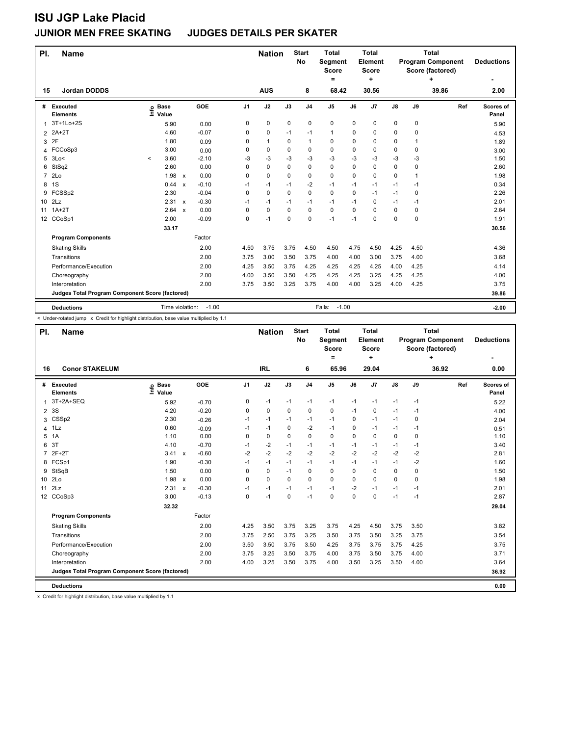| PI.            | <b>Name</b>                                     |                              |                           |         |                | <b>Nation</b> |           | <b>Start</b><br><b>No</b> | <b>Total</b><br>Segment<br>Score<br>= |          | <b>Total</b><br>Element<br>Score<br>÷ |      | <b>Total</b><br><b>Program Component</b><br>Score (factored) | <b>Deductions</b> |                    |
|----------------|-------------------------------------------------|------------------------------|---------------------------|---------|----------------|---------------|-----------|---------------------------|---------------------------------------|----------|---------------------------------------|------|--------------------------------------------------------------|-------------------|--------------------|
| 15             | <b>Jordan DODDS</b>                             |                              |                           |         |                | <b>AUS</b>    |           | 8                         | 68.42                                 |          | 30.56                                 |      |                                                              | 39.86             | 2.00               |
| #              | Executed<br><b>Elements</b>                     | <b>Base</b><br>١nfo<br>Value |                           | GOE     | J <sub>1</sub> | J2            | J3        | J <sub>4</sub>            | J5                                    | J6       | J <sub>7</sub>                        | J8   | J9                                                           | Ref               | Scores of<br>Panel |
| 1              | 3T+1Lo+2S                                       | 5.90                         |                           | 0.00    | 0              | 0             | $\pmb{0}$ | $\mathbf 0$               | 0                                     | 0        | 0                                     | 0    | $\mathbf 0$                                                  |                   | 5.90               |
|                | 2 2A+2T                                         | 4.60                         |                           | $-0.07$ | 0              | 0             | -1        | $-1$                      | 1                                     | 0        | 0                                     | 0    | $\mathbf 0$                                                  |                   | 4.53               |
| 3              | 2F                                              | 1.80                         |                           | 0.09    | 0              | $\mathbf{1}$  | 0         | $\mathbf{1}$              | 0                                     | 0        | $\mathbf 0$                           | 0    | 1                                                            |                   | 1.89               |
|                | 4 FCCoSp3                                       | 3.00                         |                           | 0.00    | 0              | $\mathbf 0$   | 0         | 0                         | 0                                     | 0        | 0                                     | 0    | 0                                                            |                   | 3.00               |
| 5              | 3Lo<                                            | 3.60<br>$\,<\,$              |                           | $-2.10$ | -3             | $-3$          | -3        | $-3$                      | $-3$                                  | -3       | -3                                    | -3   | -3                                                           |                   | 1.50               |
| 6              | StSq2                                           | 2.60                         |                           | 0.00    | 0              | $\Omega$      | $\Omega$  | $\mathbf 0$               | 0                                     | $\Omega$ | $\mathbf 0$                           | 0    | $\mathbf 0$                                                  |                   | 2.60               |
| $\overline{7}$ | 2Lo                                             | 1.98                         | $\mathsf{x}$              | 0.00    | 0              | 0             | $\Omega$  | 0                         | 0                                     | $\Omega$ | 0                                     | 0    | 1                                                            |                   | 1.98               |
| 8              | 1S                                              | 0.44                         | $\boldsymbol{\mathsf{x}}$ | $-0.10$ | $-1$           | -1            | $-1$      | $-2$                      | $-1$                                  | $-1$     | $-1$                                  | $-1$ | $-1$                                                         |                   | 0.34               |
| 9              | FCSSp2                                          | 2.30                         |                           | $-0.04$ | 0              | $\mathbf 0$   | $\Omega$  | $\mathbf 0$               | 0                                     | $\Omega$ | $-1$                                  | $-1$ | 0                                                            |                   | 2.26               |
|                | 10 2Lz                                          | 2.31                         | $\boldsymbol{\mathsf{x}}$ | $-0.30$ | $-1$           | $-1$          | -1        | $-1$                      | $-1$                                  | $-1$     | 0                                     | $-1$ | $-1$                                                         |                   | 2.01               |
| 11             | $1A+2T$                                         | 2.64                         | $\boldsymbol{\mathsf{x}}$ | 0.00    | 0              | 0             | $\Omega$  | 0                         | 0                                     | $\Omega$ | $\Omega$                              | 0    | 0                                                            |                   | 2.64               |
|                | 12 CCoSp1                                       | 2.00                         |                           | $-0.09$ | 0              | $-1$          | $\Omega$  | $\mathbf 0$               | $-1$                                  | $-1$     | $\mathbf 0$                           | 0    | $\mathbf 0$                                                  |                   | 1.91               |
|                |                                                 | 33.17                        |                           |         |                |               |           |                           |                                       |          |                                       |      |                                                              |                   | 30.56              |
|                | <b>Program Components</b>                       |                              |                           | Factor  |                |               |           |                           |                                       |          |                                       |      |                                                              |                   |                    |
|                | <b>Skating Skills</b>                           |                              |                           | 2.00    | 4.50           | 3.75          | 3.75      | 4.50                      | 4.50                                  | 4.75     | 4.50                                  | 4.25 | 4.50                                                         |                   | 4.36               |
|                | Transitions                                     |                              |                           | 2.00    | 3.75           | 3.00          | 3.50      | 3.75                      | 4.00                                  | 4.00     | 3.00                                  | 3.75 | 4.00                                                         |                   | 3.68               |
|                | Performance/Execution                           |                              |                           | 2.00    | 4.25           | 3.50          | 3.75      | 4.25                      | 4.25                                  | 4.25     | 4.25                                  | 4.00 | 4.25                                                         |                   | 4.14               |
|                | Choreography                                    |                              |                           | 2.00    | 4.00           | 3.50          | 3.50      | 4.25                      | 4.25                                  | 4.25     | 3.25                                  | 4.25 | 4.25                                                         |                   | 4.00               |
|                | Interpretation                                  |                              |                           | 2.00    | 3.75           | 3.50          | 3.25      | 3.75                      | 4.00                                  | 4.00     | 3.25                                  | 4.00 | 4.25                                                         |                   | 3.75               |
|                | Judges Total Program Component Score (factored) |                              |                           |         |                |               |           |                           |                                       |          |                                       |      |                                                              |                   | 39.86              |
|                | <b>Deductions</b>                               | Time violation:              |                           | $-1.00$ |                |               |           |                           | $-1.00$<br>Falls:                     |          |                                       |      |                                                              |                   | $-2.00$            |

< Under-rotated jump x Credit for highlight distribution, base value multiplied by 1.1

Ļ

| PI.            | <b>Name</b>                                     |                            |                           |         |                | <b>Nation</b> |          | <b>Start</b><br>No | <b>Total</b><br>Segment<br><b>Score</b><br>$=$ |          | <b>Total</b><br>Element<br><b>Score</b><br>÷ |      | <b>Total</b><br><b>Program Component</b><br>Score (factored) | <b>Deductions</b> |                    |
|----------------|-------------------------------------------------|----------------------------|---------------------------|---------|----------------|---------------|----------|--------------------|------------------------------------------------|----------|----------------------------------------------|------|--------------------------------------------------------------|-------------------|--------------------|
| 16             | <b>Conor STAKELUM</b>                           |                            |                           |         |                | <b>IRL</b>    |          | 6                  | 65.96                                          |          | 29.04                                        |      |                                                              | 36.92             | 0.00               |
| #              | Executed<br><b>Elements</b>                     | e Base<br>E Value<br>Value |                           | GOE     | J <sub>1</sub> | J2            | J3       | J <sub>4</sub>     | J <sub>5</sub>                                 | J6       | J <sub>7</sub>                               | J8   | J9                                                           | Ref               | Scores of<br>Panel |
| $\mathbf{1}$   | 3T+2A+SEQ                                       | 5.92                       |                           | $-0.70$ | 0              | $-1$          | $-1$     | $-1$               | $-1$                                           | $-1$     | $-1$                                         | $-1$ | $-1$                                                         |                   | 5.22               |
| $\overline{2}$ | 3S                                              | 4.20                       |                           | $-0.20$ | 0              | 0             | 0        | 0                  | 0                                              | $-1$     | 0                                            | $-1$ | -1                                                           |                   | 4.00               |
| 3              | CSSp2                                           | 2.30                       |                           | $-0.26$ | $-1$           | $-1$          | $-1$     | $-1$               | $-1$                                           | 0        | $-1$                                         | $-1$ | 0                                                            |                   | 2.04               |
| 4              | 1Lz                                             | 0.60                       |                           | $-0.09$ | $-1$           | $-1$          | $\Omega$ | $-2$               | $-1$                                           | $\Omega$ | $-1$                                         | $-1$ | $-1$                                                         |                   | 0.51               |
| 5              | 1A                                              | 1.10                       |                           | 0.00    | 0              | 0             | $\Omega$ | 0                  | 0                                              | $\Omega$ | $\mathbf 0$                                  | 0    | 0                                                            |                   | 1.10               |
| 6              | 3T                                              | 4.10                       |                           | $-0.70$ | $-1$           | $-2$          | $-1$     | $-1$               | $-1$                                           | $-1$     | -1                                           | -1   | -1                                                           |                   | 3.40               |
| 7              | $2F+2T$                                         | 3.41                       | $\boldsymbol{\mathsf{x}}$ | $-0.60$ | $-2$           | $-2$          | $-2$     | $-2$               | $-2$                                           | $-2$     | $-2$                                         | $-2$ | $-2$                                                         |                   | 2.81               |
| 8              | FCSp1                                           | 1.90                       |                           | $-0.30$ | $-1$           | $-1$          | $-1$     | $-1$               | $-1$                                           | $-1$     | $-1$                                         | $-1$ | $-2$                                                         |                   | 1.60               |
| 9              | StSqB                                           | 1.50                       |                           | 0.00    | 0              | 0             | $-1$     | 0                  | 0                                              | $\Omega$ | $\mathbf 0$                                  | 0    | 0                                                            |                   | 1.50               |
| 10             | 2Lo                                             | 1.98                       | $\boldsymbol{\mathsf{x}}$ | 0.00    | 0              | 0             | 0        | 0                  | 0                                              | 0        | $\mathbf 0$                                  | 0    | 0                                                            |                   | 1.98               |
| 11             | 2Lz                                             | 2.31                       | $\mathsf{x}$              | $-0.30$ | $-1$           | $-1$          | $-1$     | $-1$               | $-1$                                           | $-2$     | $-1$                                         | $-1$ | $-1$                                                         |                   | 2.01               |
|                | 12 CCoSp3                                       | 3.00                       |                           | $-0.13$ | $\Omega$       | $-1$          | $\Omega$ | $-1$               | 0                                              | $\Omega$ | $\Omega$                                     | $-1$ | $-1$                                                         |                   | 2.87               |
|                |                                                 | 32.32                      |                           |         |                |               |          |                    |                                                |          |                                              |      |                                                              |                   | 29.04              |
|                | <b>Program Components</b>                       |                            |                           | Factor  |                |               |          |                    |                                                |          |                                              |      |                                                              |                   |                    |
|                | <b>Skating Skills</b>                           |                            |                           | 2.00    | 4.25           | 3.50          | 3.75     | 3.25               | 3.75                                           | 4.25     | 4.50                                         | 3.75 | 3.50                                                         |                   | 3.82               |
|                | Transitions                                     |                            |                           | 2.00    | 3.75           | 2.50          | 3.75     | 3.25               | 3.50                                           | 3.75     | 3.50                                         | 3.25 | 3.75                                                         |                   | 3.54               |
|                | Performance/Execution                           |                            |                           | 2.00    | 3.50           | 3.50          | 3.75     | 3.50               | 4.25                                           | 3.75     | 3.75                                         | 3.75 | 4.25                                                         |                   | 3.75               |
|                | Choreography                                    |                            |                           | 2.00    | 3.75           | 3.25          | 3.50     | 3.75               | 4.00                                           | 3.75     | 3.50                                         | 3.75 | 4.00                                                         |                   | 3.71               |
|                | Interpretation                                  |                            |                           | 2.00    | 4.00           | 3.25          | 3.50     | 3.75               | 4.00                                           | 3.50     | 3.25                                         | 3.50 | 4.00                                                         |                   | 3.64               |
|                | Judges Total Program Component Score (factored) |                            |                           |         |                |               |          |                    |                                                |          |                                              |      |                                                              |                   | 36.92              |
|                | <b>Deductions</b>                               |                            |                           |         |                |               |          |                    |                                                |          |                                              |      |                                                              |                   | 0.00               |

x Credit for highlight distribution, base value multiplied by 1.1